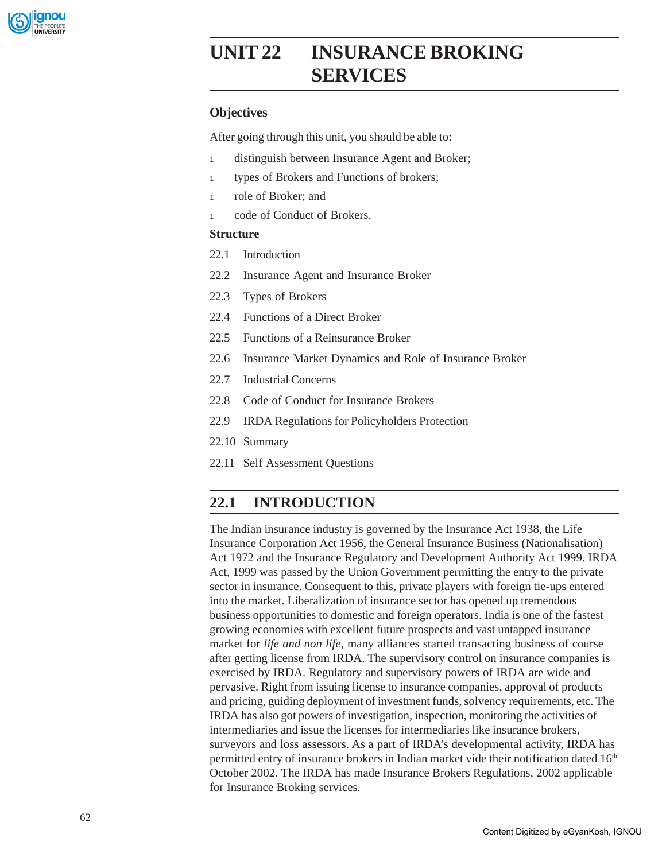

# **UNIT 22 INSURANCE BROKING SERVICES**

# **Objectives**

After going through this unit, you should be able to:

- 1 distinguish between Insurance Agent and Broker;
- 1 types of Brokers and Functions of brokers;
- <sup>l</sup> role of Broker; and
- 1 code of Conduct of Brokers.

# **Structure**

- 22.1 Introduction
- 22.2 Insurance Agent and Insurance Broker
- 22.3 Types of Brokers
- 22.4 Functions of a Direct Broker
- 22.5 Functions of a Reinsurance Broker
- 22.6 Insurance Market Dynamics and Role of Insurance Broker
- 22.7 Industrial Concerns
- 22.8 Code of Conduct for Insurance Brokers
- 22.9 IRDA Regulations for Policyholders Protection
- 22.10 Summary
- 22.11 Self Assessment Questions

# **22.1 INTRODUCTION**

The Indian insurance industry is governed by the Insurance Act 1938, the Life Insurance Corporation Act 1956, the General Insurance Business (Nationalisation) Act 1972 and the Insurance Regulatory and Development Authority Act 1999. IRDA Act, 1999 was passed by the Union Government permitting the entry to the private sector in insurance. Consequent to this, private players with foreign tie-ups entered into the market. Liberalization of insurance sector has opened up tremendous business opportunities to domestic and foreign operators. India is one of the fastest growing economies with excellent future prospects and vast untapped insurance market for *life and non life*, many alliances started transacting business of course after getting license from IRDA. The supervisory control on insurance companies is exercised by IRDA. Regulatory and supervisory powers of IRDA are wide and pervasive. Right from issuing license to insurance companies, approval of products and pricing, guiding deployment of investment funds, solvency requirements, etc. The IRDA has also got powers of investigation, inspection, monitoring the activities of intermediaries and issue the licenses for intermediaries like insurance brokers, surveyors and loss assessors. As a part of IRDA's developmental activity, IRDA has permitted entry of insurance brokers in Indian market vide their notification dated 16<sup>th</sup> October 2002. The IRDA has made Insurance Brokers Regulations, 2002 applicable for Insurance Broking services.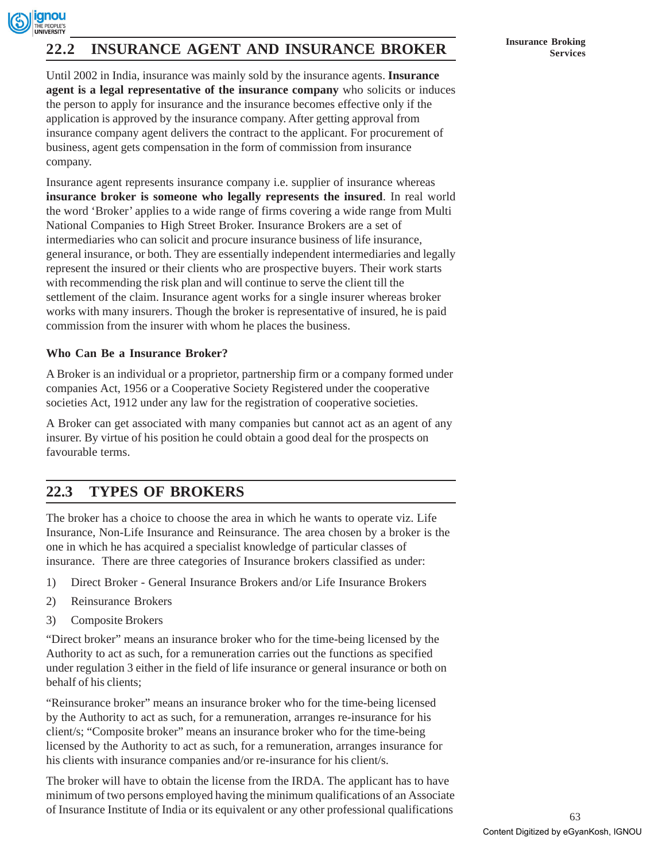

# **INSURANCE AGENT AND INSURANCE BROKER Insurance Broking** Services

Until 2002 in India, insurance was mainly sold by the insurance agents. **Insurance agent is a legal representative of the insurance company** who solicits or induces the person to apply for insurance and the insurance becomes effective only if the application is approved by the insurance company. After getting approval from insurance company agent delivers the contract to the applicant. For procurement of business, agent gets compensation in the form of commission from insurance company.

Insurance agent represents insurance company i.e. supplier of insurance whereas **insurance broker is someone who legally represents the insured**. In real world the word 'Broker' applies to a wide range of firms covering a wide range from Multi National Companies to High Street Broker. Insurance Brokers are a set of intermediaries who can solicit and procure insurance business of life insurance, general insurance, or both. They are essentially independent intermediaries and legally represent the insured or their clients who are prospective buyers. Their work starts with recommending the risk plan and will continue to serve the client till the settlement of the claim. Insurance agent works for a single insurer whereas broker works with many insurers. Though the broker is representative of insured, he is paid commission from the insurer with whom he places the business.

# **Who Can Be a Insurance Broker?**

A Broker is an individual or a proprietor, partnership firm or a company formed under companies Act, 1956 or a Cooperative Society Registered under the cooperative societies Act, 1912 under any law for the registration of cooperative societies.

A Broker can get associated with many companies but cannot act as an agent of any insurer. By virtue of his position he could obtain a good deal for the prospects on favourable terms.

# **22.3 TYPES OF BROKERS**

The broker has a choice to choose the area in which he wants to operate viz. Life Insurance, Non-Life Insurance and Reinsurance. The area chosen by a broker is the one in which he has acquired a specialist knowledge of particular classes of insurance. There are three categories of Insurance brokers classified as under:

- 1) Direct Broker General Insurance Brokers and/or Life Insurance Brokers
- 2) Reinsurance Brokers
- 3) Composite Brokers

"Direct broker" means an insurance broker who for the time-being licensed by the Authority to act as such, for a remuneration carries out the functions as specified under regulation 3 either in the field of life insurance or general insurance or both on behalf of his clients;

"Reinsurance broker" means an insurance broker who for the time-being licensed by the Authority to act as such, for a remuneration, arranges re-insurance for his client/s; "Composite broker" means an insurance broker who for the time-being licensed by the Authority to act as such, for a remuneration, arranges insurance for his clients with insurance companies and/or re-insurance for his client/s.

The broker will have to obtain the license from the IRDA. The applicant has to have minimum of two persons employed having the minimum qualifications of an Associate of Insurance Institute of India or its equivalent or any other professional qualifications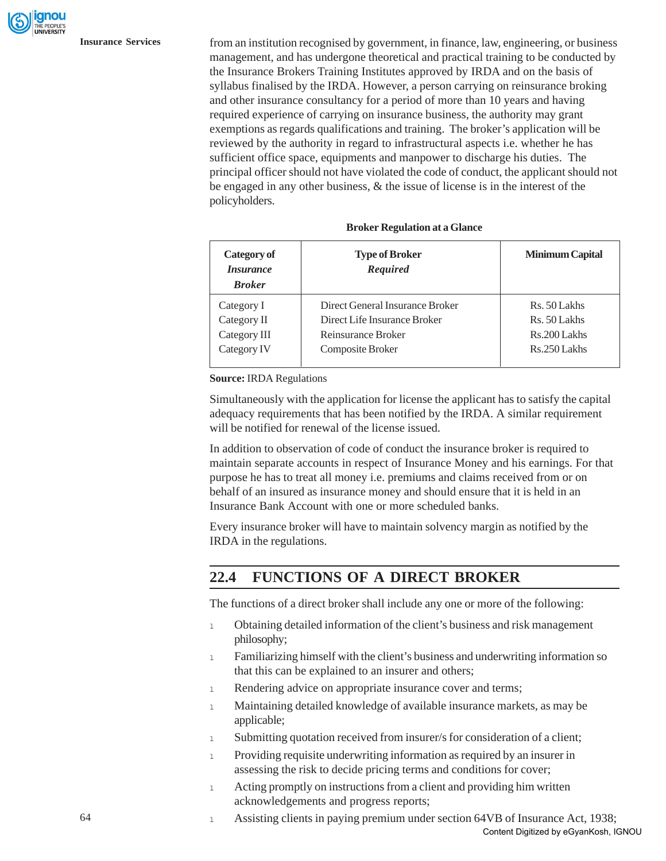**Insurance Services** from an institution recognised by government, in finance, law, engineering, or business management, and has undergone theoretical and practical training to be conducted by the Insurance Brokers Training Institutes approved by IRDA and on the basis of syllabus finalised by the IRDA. However, a person carrying on reinsurance broking and other insurance consultancy for a period of more than 10 years and having required experience of carrying on insurance business, the authority may grant exemptions as regards qualifications and training. The broker's application will be reviewed by the authority in regard to infrastructural aspects i.e. whether he has sufficient office space, equipments and manpower to discharge his duties. The principal officer should not have violated the code of conduct, the applicant should not be engaged in any other business, & the issue of license is in the interest of the policyholders.

| Category of<br><i><b>Insurance</b></i><br><b>Broker</b> | <b>Type of Broker</b><br>Required | <b>Minimum Capital</b> |
|---------------------------------------------------------|-----------------------------------|------------------------|
| Category I                                              | Direct General Insurance Broker   | Rs. 50 Lakhs           |
| Category II                                             | Direct Life Insurance Broker      | Rs. 50 Lakhs           |
| Category III                                            | Reinsurance Broker                | Rs.200 Lakhs           |
| Category IV                                             | Composite Broker                  | Rs.250 Lakhs           |

#### **Broker Regulation at a Glance**

**Source:** IRDA Regulations

Simultaneously with the application for license the applicant has to satisfy the capital adequacy requirements that has been notified by the IRDA. A similar requirement will be notified for renewal of the license issued.

In addition to observation of code of conduct the insurance broker is required to maintain separate accounts in respect of Insurance Money and his earnings. For that purpose he has to treat all money i.e. premiums and claims received from or on behalf of an insured as insurance money and should ensure that it is held in an Insurance Bank Account with one or more scheduled banks.

Every insurance broker will have to maintain solvency margin as notified by the IRDA in the regulations.

# **22.4 FUNCTIONS OF A DIRECT BROKER**

The functions of a direct broker shall include any one or more of the following:

- 1 Obtaining detailed information of the client's business and risk management philosophy;
- 1 Familiarizing himself with the client's business and underwriting information so that this can be explained to an insurer and others;
- 1 Rendering advice on appropriate insurance cover and terms;
- 1 Maintaining detailed knowledge of available insurance markets, as may be applicable;
- 1 Submitting quotation received from insurer/s for consideration of a client;
- <sup>l</sup> Providing requisite underwriting information as required by an insurer in assessing the risk to decide pricing terms and conditions for cover;
- 1 Acting promptly on instructions from a client and providing him written acknowledgements and progress reports;
- 1 Assisting clients in paying premium under section 64VB of Insurance Act, 1938; Content Digitized by eGyanKosh, IGNOU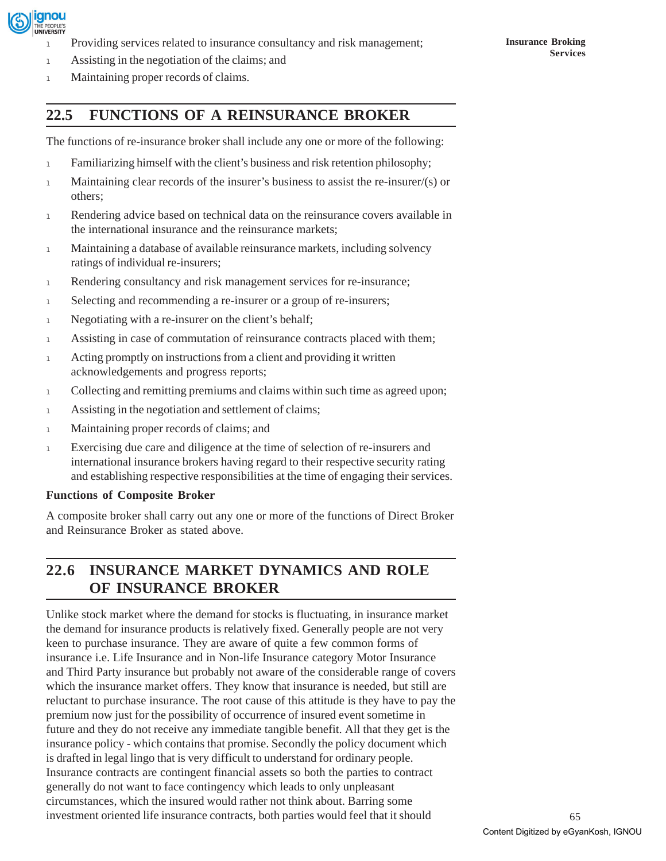

Providing services related to insurance consultancy and risk management;

1 Maintaining proper records of claims.

# **22.5 FUNCTIONS OF A REINSURANCE BROKER**

The functions of re-insurance broker shall include any one or more of the following:

- 1 Familiarizing himself with the client's business and risk retention philosophy;
- <sup>l</sup> Maintaining clear records of the insurer's business to assist the re-insurer/(s) or others;
- 1 Rendering advice based on technical data on the reinsurance covers available in the international insurance and the reinsurance markets;
- <sup>l</sup> Maintaining a database of available reinsurance markets, including solvency ratings of individual re-insurers;
- 1 Rendering consultancy and risk management services for re-insurance;
- 1 Selecting and recommending a re-insurer or a group of re-insurers;
- 1 Negotiating with a re-insurer on the client's behalf;
- 1 Assisting in case of commutation of reinsurance contracts placed with them;
- 1 Acting promptly on instructions from a client and providing it written acknowledgements and progress reports;
- <sup>l</sup> Collecting and remitting premiums and claims within such time as agreed upon;
- 1 Assisting in the negotiation and settlement of claims;
- 1 Maintaining proper records of claims; and
- <sup>l</sup> Exercising due care and diligence at the time of selection of re-insurers and international insurance brokers having regard to their respective security rating and establishing respective responsibilities at the time of engaging their services.

### **Functions of Composite Broker**

A composite broker shall carry out any one or more of the functions of Direct Broker and Reinsurance Broker as stated above.

# **22.6 INSURANCE MARKET DYNAMICS AND ROLE OF INSURANCE BROKER**

Unlike stock market where the demand for stocks is fluctuating, in insurance market the demand for insurance products is relatively fixed. Generally people are not very keen to purchase insurance. They are aware of quite a few common forms of insurance i.e. Life Insurance and in Non-life Insurance category Motor Insurance and Third Party insurance but probably not aware of the considerable range of covers which the insurance market offers. They know that insurance is needed, but still are reluctant to purchase insurance. The root cause of this attitude is they have to pay the premium now just for the possibility of occurrence of insured event sometime in future and they do not receive any immediate tangible benefit. All that they get is the insurance policy - which contains that promise. Secondly the policy document which is drafted in legal lingo that is very difficult to understand for ordinary people. Insurance contracts are contingent financial assets so both the parties to contract generally do not want to face contingency which leads to only unpleasant circumstances, which the insured would rather not think about. Barring some investment oriented life insurance contracts, both parties would feel that it should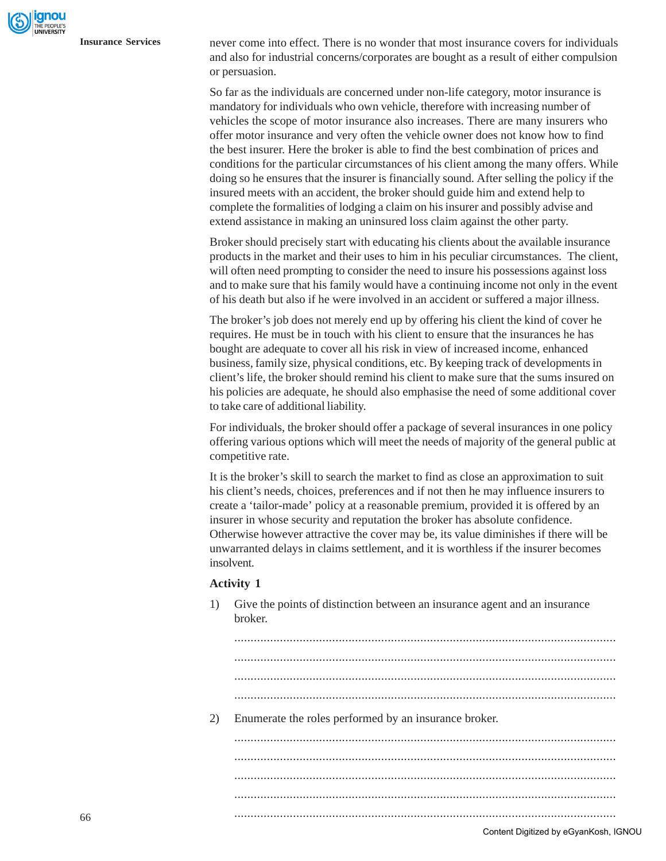**Insurance Services** never come into effect. There is no wonder that most insurance covers for individuals and also for industrial concerns/corporates are bought as a result of either compulsion or persuasion.

> So far as the individuals are concerned under non-life category, motor insurance is mandatory for individuals who own vehicle, therefore with increasing number of vehicles the scope of motor insurance also increases. There are many insurers who offer motor insurance and very often the vehicle owner does not know how to find the best insurer. Here the broker is able to find the best combination of prices and conditions for the particular circumstances of his client among the many offers. While doing so he ensures that the insurer is financially sound. After selling the policy if the insured meets with an accident, the broker should guide him and extend help to complete the formalities of lodging a claim on his insurer and possibly advise and extend assistance in making an uninsured loss claim against the other party.

> Broker should precisely start with educating his clients about the available insurance products in the market and their uses to him in his peculiar circumstances. The client, will often need prompting to consider the need to insure his possessions against loss and to make sure that his family would have a continuing income not only in the event of his death but also if he were involved in an accident or suffered a major illness.

> The broker's job does not merely end up by offering his client the kind of cover he requires. He must be in touch with his client to ensure that the insurances he has bought are adequate to cover all his risk in view of increased income, enhanced business, family size, physical conditions, etc. By keeping track of developments in client's life, the broker should remind his client to make sure that the sums insured on his policies are adequate, he should also emphasise the need of some additional cover to take care of additional liability.

> For individuals, the broker should offer a package of several insurances in one policy offering various options which will meet the needs of majority of the general public at competitive rate.

It is the broker's skill to search the market to find as close an approximation to suit his client's needs, choices, preferences and if not then he may influence insurers to create a 'tailor-made' policy at a reasonable premium, provided it is offered by an insurer in whose security and reputation the broker has absolute confidence. Otherwise however attractive the cover may be, its value diminishes if there will be unwarranted delays in claims settlement, and it is worthless if the insurer becomes insolvent.

#### **Activity 1**

- broker. ..................................................................................................................... ..................................................................................................................... ..................................................................................................................... 2) Enumerate the roles performed by an insurance broker. ..................................................................................................................... ..................................................................................................................... ..................................................................................................................... ..................................................................................................................... Content Digitized by eGyanKosh, IGNOU
- 1) Give the points of distinction between an insurance agent and an insurance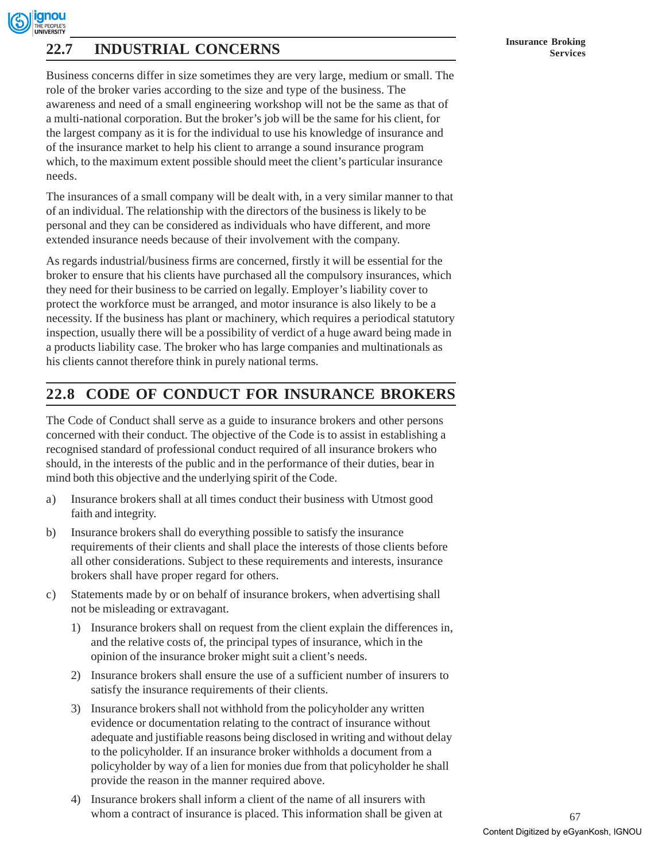# **Insurance Broking 22.7 INDUSTRIAL CONCERNS Services**

Business concerns differ in size sometimes they are very large, medium or small. The role of the broker varies according to the size and type of the business. The awareness and need of a small engineering workshop will not be the same as that of a multi-national corporation. But the broker's job will be the same for his client, for the largest company as it is for the individual to use his knowledge of insurance and of the insurance market to help his client to arrange a sound insurance program which, to the maximum extent possible should meet the client's particular insurance needs.

The insurances of a small company will be dealt with, in a very similar manner to that of an individual. The relationship with the directors of the business is likely to be personal and they can be considered as individuals who have different, and more extended insurance needs because of their involvement with the company.

As regards industrial/business firms are concerned, firstly it will be essential for the broker to ensure that his clients have purchased all the compulsory insurances, which they need for their business to be carried on legally. Employer's liability cover to protect the workforce must be arranged, and motor insurance is also likely to be a necessity. If the business has plant or machinery, which requires a periodical statutory inspection, usually there will be a possibility of verdict of a huge award being made in a products liability case. The broker who has large companies and multinationals as his clients cannot therefore think in purely national terms.

# **22.8 CODE OF CONDUCT FOR INSURANCE BROKERS**

The Code of Conduct shall serve as a guide to insurance brokers and other persons concerned with their conduct. The objective of the Code is to assist in establishing a recognised standard of professional conduct required of all insurance brokers who should, in the interests of the public and in the performance of their duties, bear in mind both this objective and the underlying spirit of the Code.

- a) Insurance brokers shall at all times conduct their business with Utmost good faith and integrity.
- b) Insurance brokers shall do everything possible to satisfy the insurance requirements of their clients and shall place the interests of those clients before all other considerations. Subject to these requirements and interests, insurance brokers shall have proper regard for others.
- c) Statements made by or on behalf of insurance brokers, when advertising shall not be misleading or extravagant.
	- 1) Insurance brokers shall on request from the client explain the differences in, and the relative costs of, the principal types of insurance, which in the opinion of the insurance broker might suit a client's needs.
	- 2) Insurance brokers shall ensure the use of a sufficient number of insurers to satisfy the insurance requirements of their clients.
	- 3) Insurance brokers shall not withhold from the policyholder any written evidence or documentation relating to the contract of insurance without adequate and justifiable reasons being disclosed in writing and without delay to the policyholder. If an insurance broker withholds a document from a policyholder by way of a lien for monies due from that policyholder he shall provide the reason in the manner required above.
	- 4) Insurance brokers shall inform a client of the name of all insurers with whom a contract of insurance is placed. This information shall be given at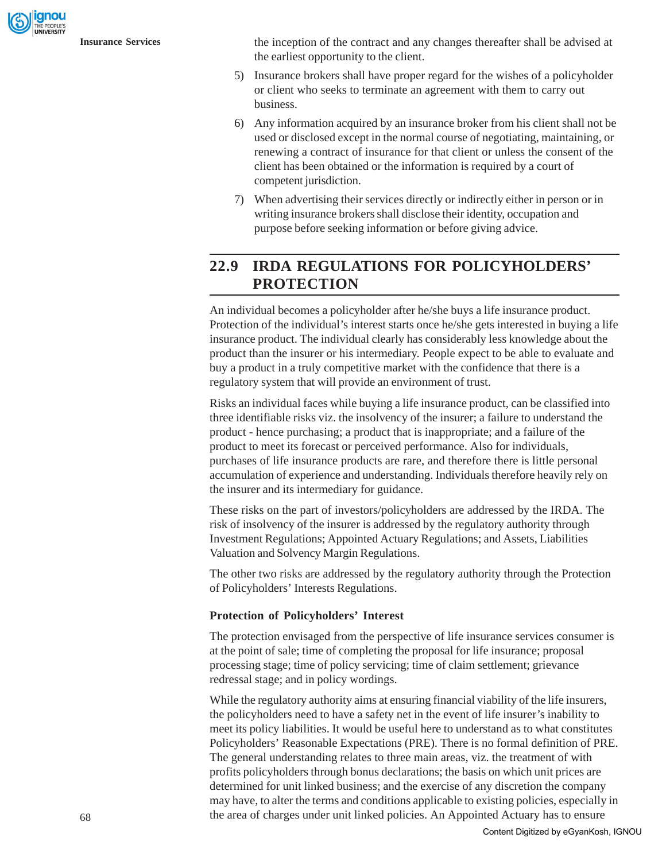gnou

**Insurance Services** the inception of the contract and any changes thereafter shall be advised at the earliest opportunity to the client.

- 5) Insurance brokers shall have proper regard for the wishes of a policyholder or client who seeks to terminate an agreement with them to carry out business.
- 6) Any information acquired by an insurance broker from his client shall not be used or disclosed except in the normal course of negotiating, maintaining, or renewing a contract of insurance for that client or unless the consent of the client has been obtained or the information is required by a court of competent jurisdiction.
- 7) When advertising their services directly or indirectly either in person or in writing insurance brokers shall disclose their identity, occupation and purpose before seeking information or before giving advice.

# **22.9 IRDA REGULATIONS FOR POLICYHOLDERS' PROTECTION**

An individual becomes a policyholder after he/she buys a life insurance product. Protection of the individual's interest starts once he/she gets interested in buying a life insurance product. The individual clearly has considerably less knowledge about the product than the insurer or his intermediary. People expect to be able to evaluate and buy a product in a truly competitive market with the confidence that there is a regulatory system that will provide an environment of trust.

Risks an individual faces while buying a life insurance product, can be classified into three identifiable risks viz. the insolvency of the insurer; a failure to understand the product - hence purchasing; a product that is inappropriate; and a failure of the product to meet its forecast or perceived performance. Also for individuals, purchases of life insurance products are rare, and therefore there is little personal accumulation of experience and understanding. Individuals therefore heavily rely on the insurer and its intermediary for guidance.

These risks on the part of investors/policyholders are addressed by the IRDA. The risk of insolvency of the insurer is addressed by the regulatory authority through Investment Regulations; Appointed Actuary Regulations; and Assets, Liabilities Valuation and Solvency Margin Regulations.

The other two risks are addressed by the regulatory authority through the Protection of Policyholders' Interests Regulations.

# **Protection of Policyholders' Interest**

The protection envisaged from the perspective of life insurance services consumer is at the point of sale; time of completing the proposal for life insurance; proposal processing stage; time of policy servicing; time of claim settlement; grievance redressal stage; and in policy wordings.

While the regulatory authority aims at ensuring financial viability of the life insurers, the policyholders need to have a safety net in the event of life insurer's inability to meet its policy liabilities. It would be useful here to understand as to what constitutes Policyholders' Reasonable Expectations (PRE). There is no formal definition of PRE. The general understanding relates to three main areas, viz. the treatment of with profits policyholders through bonus declarations; the basis on which unit prices are determined for unit linked business; and the exercise of any discretion the company may have, to alter the terms and conditions applicable to existing policies, especially in the area of charges under unit linked policies. An Appointed Actuary has to ensure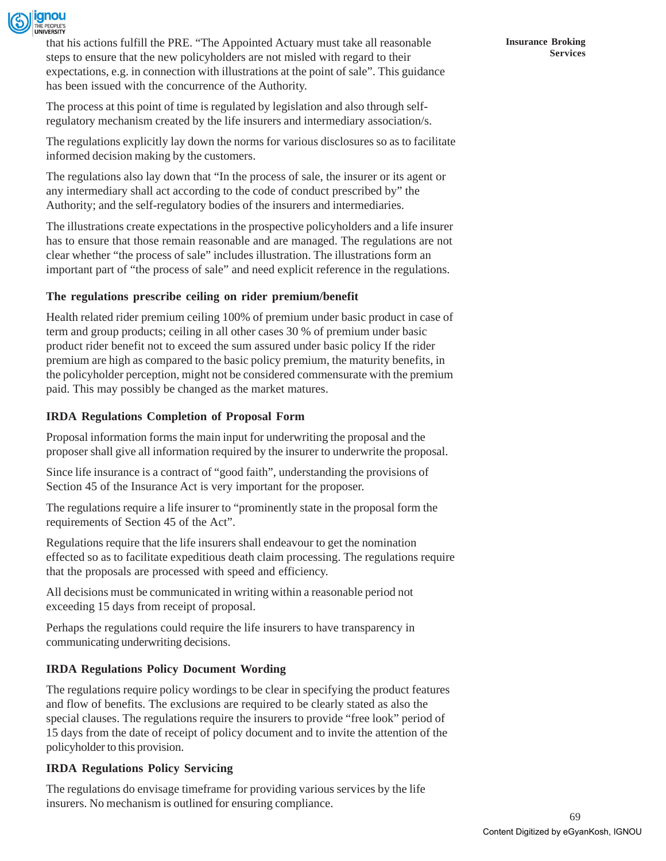

that his actions fulfill the PRE. "The Appointed Actuary must take all reasonable steps to ensure that the new policyholders are not misled with regard to their expectations, e.g. in connection with illustrations at the point of sale". This guidance has been issued with the concurrence of the Authority.

The process at this point of time is regulated by legislation and also through selfregulatory mechanism created by the life insurers and intermediary association/s.

The regulations explicitly lay down the norms for various disclosures so as to facilitate informed decision making by the customers.

The regulations also lay down that "In the process of sale, the insurer or its agent or any intermediary shall act according to the code of conduct prescribed by" the Authority; and the self-regulatory bodies of the insurers and intermediaries.

The illustrations create expectations in the prospective policyholders and a life insurer has to ensure that those remain reasonable and are managed. The regulations are not clear whether "the process of sale" includes illustration. The illustrations form an important part of "the process of sale" and need explicit reference in the regulations.

# **The regulations prescribe ceiling on rider premium/benefit**

Health related rider premium ceiling 100% of premium under basic product in case of term and group products; ceiling in all other cases 30 % of premium under basic product rider benefit not to exceed the sum assured under basic policy If the rider premium are high as compared to the basic policy premium, the maturity benefits, in the policyholder perception, might not be considered commensurate with the premium paid. This may possibly be changed as the market matures.

### **IRDA Regulations Completion of Proposal Form**

Proposal information forms the main input for underwriting the proposal and the proposer shall give all information required by the insurer to underwrite the proposal.

Since life insurance is a contract of "good faith", understanding the provisions of Section 45 of the Insurance Act is very important for the proposer.

The regulations require a life insurer to "prominently state in the proposal form the requirements of Section 45 of the Act".

Regulations require that the life insurers shall endeavour to get the nomination effected so as to facilitate expeditious death claim processing. The regulations require that the proposals are processed with speed and efficiency.

All decisions must be communicated in writing within a reasonable period not exceeding 15 days from receipt of proposal.

Perhaps the regulations could require the life insurers to have transparency in communicating underwriting decisions.

# **IRDA Regulations Policy Document Wording**

The regulations require policy wordings to be clear in specifying the product features and flow of benefits. The exclusions are required to be clearly stated as also the special clauses. The regulations require the insurers to provide "free look" period of 15 days from the date of receipt of policy document and to invite the attention of the policyholder to this provision.

### **IRDA Regulations Policy Servicing**

The regulations do envisage timeframe for providing various services by the life insurers. No mechanism is outlined for ensuring compliance.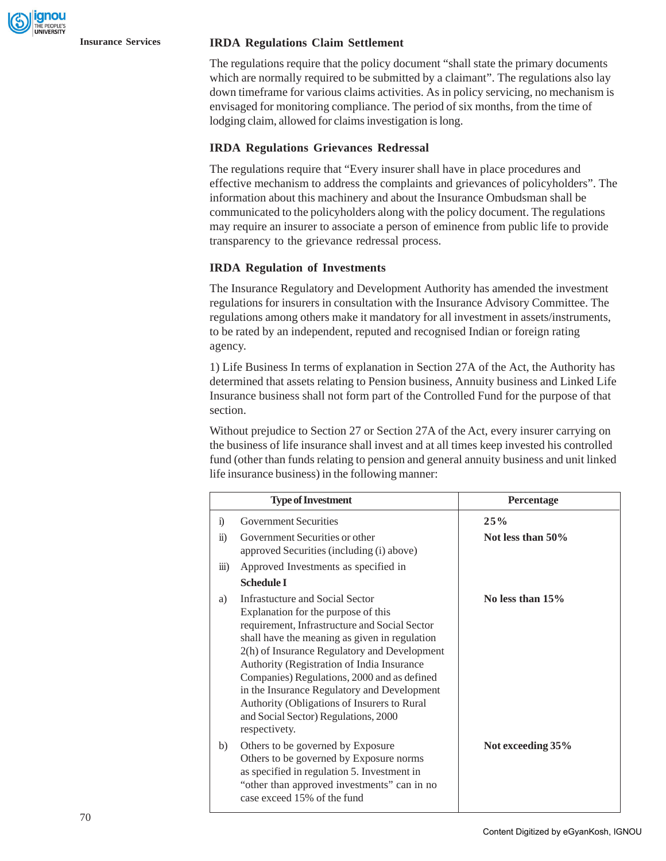#### **Insurance Services IRDA Regulations Claim Settlement**

The regulations require that the policy document "shall state the primary documents which are normally required to be submitted by a claimant". The regulations also lay down timeframe for various claims activities. As in policy servicing, no mechanism is envisaged for monitoring compliance. The period of six months, from the time of lodging claim, allowed for claims investigation is long.

#### **IRDA Regulations Grievances Redressal**

The regulations require that "Every insurer shall have in place procedures and effective mechanism to address the complaints and grievances of policyholders". The information about this machinery and about the Insurance Ombudsman shall be communicated to the policyholders along with the policy document. The regulations may require an insurer to associate a person of eminence from public life to provide transparency to the grievance redressal process.

#### **IRDA Regulation of Investments**

The Insurance Regulatory and Development Authority has amended the investment regulations for insurers in consultation with the Insurance Advisory Committee. The regulations among others make it mandatory for all investment in assets/instruments, to be rated by an independent, reputed and recognised Indian or foreign rating agency.

1) Life Business In terms of explanation in Section 27A of the Act, the Authority has determined that assets relating to Pension business, Annuity business and Linked Life Insurance business shall not form part of the Controlled Fund for the purpose of that section.

Without prejudice to Section 27 or Section 27A of the Act, every insurer carrying on the business of life insurance shall invest and at all times keep invested his controlled fund (other than funds relating to pension and general annuity business and unit linked life insurance business) in the following manner:

|                    | <b>Type of Investment</b>                                                                                                                                                                                                                                                                                                                                                                                                                                                    | <b>Percentage</b>  |
|--------------------|------------------------------------------------------------------------------------------------------------------------------------------------------------------------------------------------------------------------------------------------------------------------------------------------------------------------------------------------------------------------------------------------------------------------------------------------------------------------------|--------------------|
| $\ddot{1}$         | <b>Government Securities</b>                                                                                                                                                                                                                                                                                                                                                                                                                                                 | 25%                |
| $\ddot{u}$ )       | Government Securities or other<br>approved Securities (including (i) above)                                                                                                                                                                                                                                                                                                                                                                                                  | Not less than 50%  |
| $\overline{111}$ ) | Approved Investments as specified in                                                                                                                                                                                                                                                                                                                                                                                                                                         |                    |
|                    | <b>Schedule I</b>                                                                                                                                                                                                                                                                                                                                                                                                                                                            |                    |
| a)                 | Infrastucture and Social Sector<br>Explanation for the purpose of this<br>requirement, Infrastructure and Social Sector<br>shall have the meaning as given in regulation<br>2(h) of Insurance Regulatory and Development<br>Authority (Registration of India Insurance<br>Companies) Regulations, 2000 and as defined<br>in the Insurance Regulatory and Development<br>Authority (Obligations of Insurers to Rural<br>and Social Sector) Regulations, 2000<br>respectivety. | No less than $15%$ |
| b)                 | Others to be governed by Exposure<br>Others to be governed by Exposure norms<br>as specified in regulation 5. Investment in<br>"other than approved investments" can in no<br>case exceed 15% of the fund                                                                                                                                                                                                                                                                    | Not exceeding 35%  |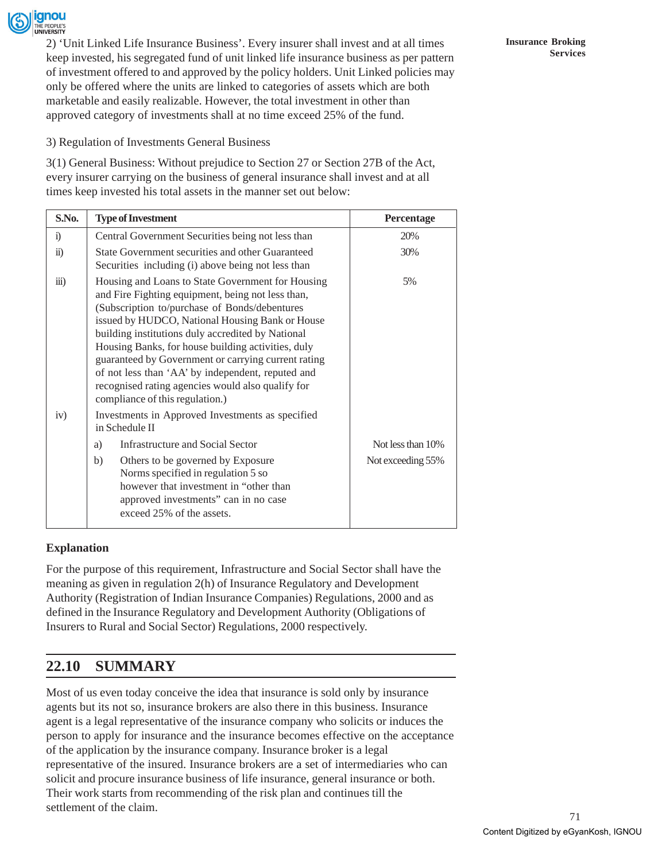

2) 'Unit Linked Life Insurance Business'. Every insurer shall invest and at all times keep invested, his segregated fund of unit linked life insurance business as per pattern of investment offered to and approved by the policy holders. Unit Linked policies may only be offered where the units are linked to categories of assets which are both marketable and easily realizable. However, the total investment in other than approved category of investments shall at no time exceed 25% of the fund.

3) Regulation of Investments General Business

3(1) General Business: Without prejudice to Section 27 or Section 27B of the Act, every insurer carrying on the business of general insurance shall invest and at all times keep invested his total assets in the manner set out below:

| S.No.                | <b>Type of Investment</b>                                                                                                                                                                                                                                                                                                                                                                                                                                                                                                 | Percentage        |
|----------------------|---------------------------------------------------------------------------------------------------------------------------------------------------------------------------------------------------------------------------------------------------------------------------------------------------------------------------------------------------------------------------------------------------------------------------------------------------------------------------------------------------------------------------|-------------------|
| $\ddot{1}$           | Central Government Securities being not less than                                                                                                                                                                                                                                                                                                                                                                                                                                                                         | 20%               |
| $\ddot{\textbf{i}}$  | State Government securities and other Guaranteed<br>Securities including (i) above being not less than                                                                                                                                                                                                                                                                                                                                                                                                                    | 30%               |
| $\dddot{\mathbf{i}}$ | Housing and Loans to State Government for Housing<br>and Fire Fighting equipment, being not less than,<br>(Subscription to/purchase of Bonds/debentures<br>issued by HUDCO, National Housing Bank or House<br>building institutions duly accredited by National<br>Housing Banks, for house building activities, duly<br>guaranteed by Government or carrying current rating<br>of not less than 'AA' by independent, reputed and<br>recognised rating agencies would also qualify for<br>compliance of this regulation.) | 5%                |
| iv)                  | Investments in Approved Investments as specified<br>in Schedule II                                                                                                                                                                                                                                                                                                                                                                                                                                                        |                   |
|                      | Infrastructure and Social Sector<br>a)                                                                                                                                                                                                                                                                                                                                                                                                                                                                                    | Not less than 10% |
|                      | b)<br>Others to be governed by Exposure<br>Norms specified in regulation 5 so<br>however that investment in "other than<br>approved investments" can in no case<br>exceed 25% of the assets.                                                                                                                                                                                                                                                                                                                              | Not exceeding 55% |

### **Explanation**

For the purpose of this requirement, Infrastructure and Social Sector shall have the meaning as given in regulation 2(h) of Insurance Regulatory and Development Authority (Registration of Indian Insurance Companies) Regulations, 2000 and as defined in the Insurance Regulatory and Development Authority (Obligations of Insurers to Rural and Social Sector) Regulations, 2000 respectively.

# **22.10 SUMMARY**

Most of us even today conceive the idea that insurance is sold only by insurance agents but its not so, insurance brokers are also there in this business. Insurance agent is a legal representative of the insurance company who solicits or induces the person to apply for insurance and the insurance becomes effective on the acceptance of the application by the insurance company. Insurance broker is a legal representative of the insured. Insurance brokers are a set of intermediaries who can solicit and procure insurance business of life insurance, general insurance or both. Their work starts from recommending of the risk plan and continues till the settlement of the claim.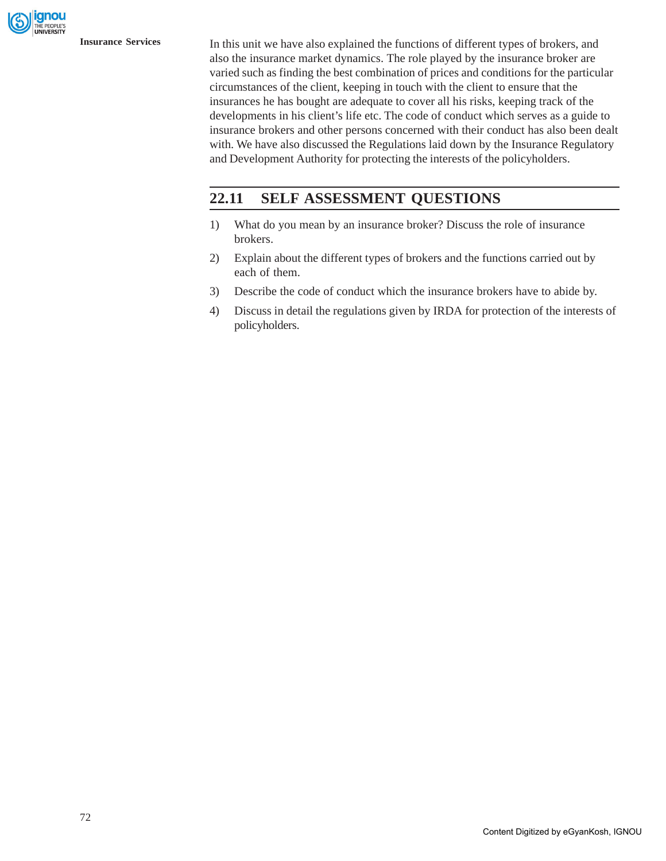gnou

**Insurance Services** In this unit we have also explained the functions of different types of brokers, and also the insurance market dynamics. The role played by the insurance broker are varied such as finding the best combination of prices and conditions for the particular circumstances of the client, keeping in touch with the client to ensure that the insurances he has bought are adequate to cover all his risks, keeping track of the developments in his client's life etc. The code of conduct which serves as a guide to insurance brokers and other persons concerned with their conduct has also been dealt with. We have also discussed the Regulations laid down by the Insurance Regulatory and Development Authority for protecting the interests of the policyholders.

# **22.11 SELF ASSESSMENT QUESTIONS**

- 1) What do you mean by an insurance broker? Discuss the role of insurance brokers.
- 2) Explain about the different types of brokers and the functions carried out by each of them.
- 3) Describe the code of conduct which the insurance brokers have to abide by.
- 4) Discuss in detail the regulations given by IRDA for protection of the interests of policyholders.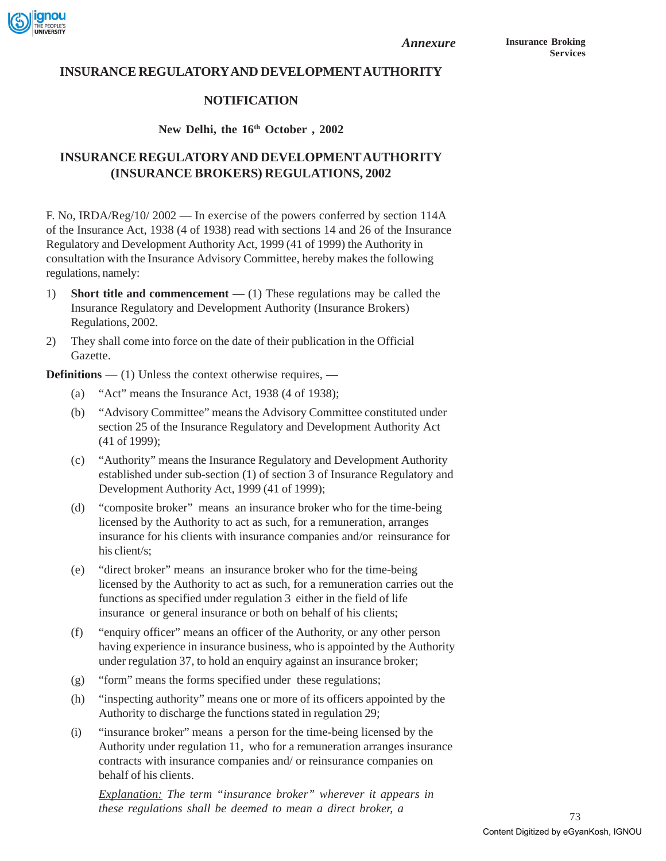

*Annexure*

# **INSURANCE REGULATORY AND DEVELOPMENT AUTHORITY**

### **NOTIFICATION**

### New Delhi, the 16<sup>th</sup> October, 2002

# **INSURANCE REGULATORY AND DEVELOPMENT AUTHORITY (INSURANCE BROKERS) REGULATIONS, 2002**

F. No, IRDA/Reg/10/2002 — In exercise of the powers conferred by section 114A of the Insurance Act, 1938 (4 of 1938) read with sections 14 and 26 of the Insurance Regulatory and Development Authority Act, 1999 (41 of 1999) the Authority in consultation with the Insurance Advisory Committee, hereby makes the following regulations, namely:

- 1) **Short title and commencement** (1) These regulations may be called the Insurance Regulatory and Development Authority (Insurance Brokers) Regulations, 2002.
- 2) They shall come into force on the date of their publication in the Official Gazette.

**Definitions** — (1) Unless the context otherwise requires, **—**

- (a) "Act" means the Insurance Act, 1938 (4 of 1938);
- (b) "Advisory Committee" means the Advisory Committee constituted under section 25 of the Insurance Regulatory and Development Authority Act (41 of 1999);
- (c) "Authority" means the Insurance Regulatory and Development Authority established under sub-section (1) of section 3 of Insurance Regulatory and Development Authority Act, 1999 (41 of 1999);
- (d) "composite broker" means an insurance broker who for the time-being licensed by the Authority to act as such, for a remuneration, arranges insurance for his clients with insurance companies and/or reinsurance for his client/s;
- (e) "direct broker" means an insurance broker who for the time-being licensed by the Authority to act as such, for a remuneration carries out the functions as specified under regulation 3 either in the field of life insurance or general insurance or both on behalf of his clients;
- (f) "enquiry officer" means an officer of the Authority, or any other person having experience in insurance business, who is appointed by the Authority under regulation 37, to hold an enquiry against an insurance broker;
- (g) "form" means the forms specified under these regulations;
- (h) "inspecting authority" means one or more of its officers appointed by the Authority to discharge the functions stated in regulation 29;
- (i) "insurance broker" means a person for the time-being licensed by the Authority under regulation 11, who for a remuneration arranges insurance contracts with insurance companies and/ or reinsurance companies on behalf of his clients.

*Explanation: The term "insurance broker" wherever it appears in these regulations shall be deemed to mean a direct broker, a*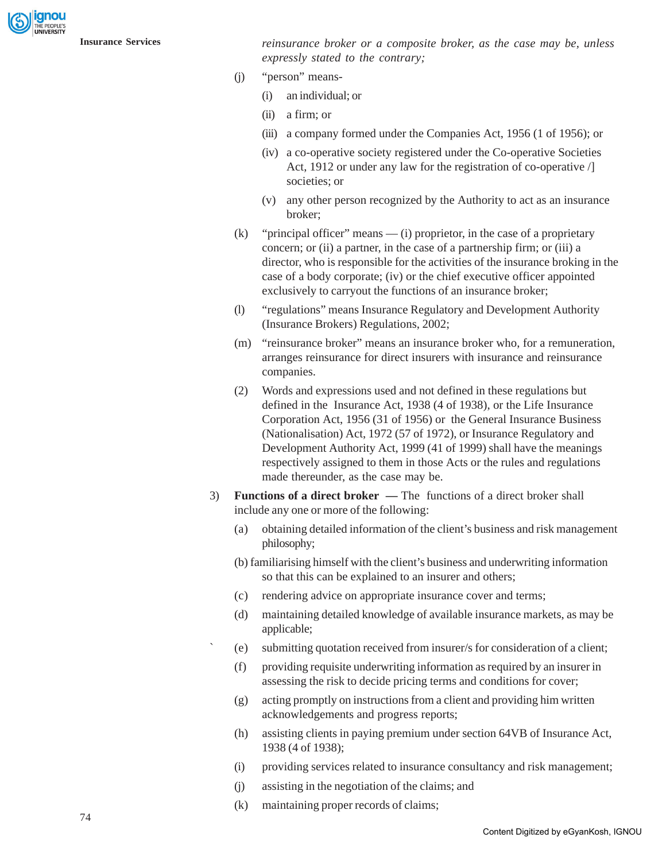anou

**Insurance Services** *reinsurance broker or a composite broker, as the case may be, unless expressly stated to the contrary;*

- (j) "person" means-
	- (i) an individual; or
	- (ii) a firm; or
	- (iii) a company formed under the Companies Act, 1956 (1 of 1956); or
	- (iv) a co-operative society registered under the Co-operative Societies Act, 1912 or under any law for the registration of co-operative  $\Lambda$ societies; or
	- (v) any other person recognized by the Authority to act as an insurance broker;
- (k) "principal officer" means (i) proprietor, in the case of a proprietary concern; or (ii) a partner, in the case of a partnership firm; or (iii) a director, who is responsible for the activities of the insurance broking in the case of a body corporate; (iv) or the chief executive officer appointed exclusively to carryout the functions of an insurance broker;
- (l) "regulations" means Insurance Regulatory and Development Authority (Insurance Brokers) Regulations, 2002;
- (m) "reinsurance broker" means an insurance broker who, for a remuneration, arranges reinsurance for direct insurers with insurance and reinsurance companies.
- (2) Words and expressions used and not defined in these regulations but defined in the Insurance Act, 1938 (4 of 1938), or the Life Insurance Corporation Act, 1956 (31 of 1956) or the General Insurance Business (Nationalisation) Act, 1972 (57 of 1972), or Insurance Regulatory and Development Authority Act, 1999 (41 of 1999) shall have the meanings respectively assigned to them in those Acts or the rules and regulations made thereunder, as the case may be.
- 3) **Functions of a direct broker** The functions of a direct broker shall include any one or more of the following:
	- (a) obtaining detailed information of the client's business and risk management philosophy;
	- (b) familiarising himself with the client's business and underwriting information so that this can be explained to an insurer and others;
	- (c) rendering advice on appropriate insurance cover and terms;
	- (d) maintaining detailed knowledge of available insurance markets, as may be applicable;
	- ` (e) submitting quotation received from insurer/s for consideration of a client;
	- (f) providing requisite underwriting information as required by an insurer in assessing the risk to decide pricing terms and conditions for cover;
	- (g) acting promptly on instructions from a client and providing him written acknowledgements and progress reports;
	- (h) assisting clients in paying premium under section 64VB of Insurance Act, 1938 (4 of 1938);
	- (i) providing services related to insurance consultancy and risk management;
	- (j) assisting in the negotiation of the claims; and
	- (k) maintaining proper records of claims;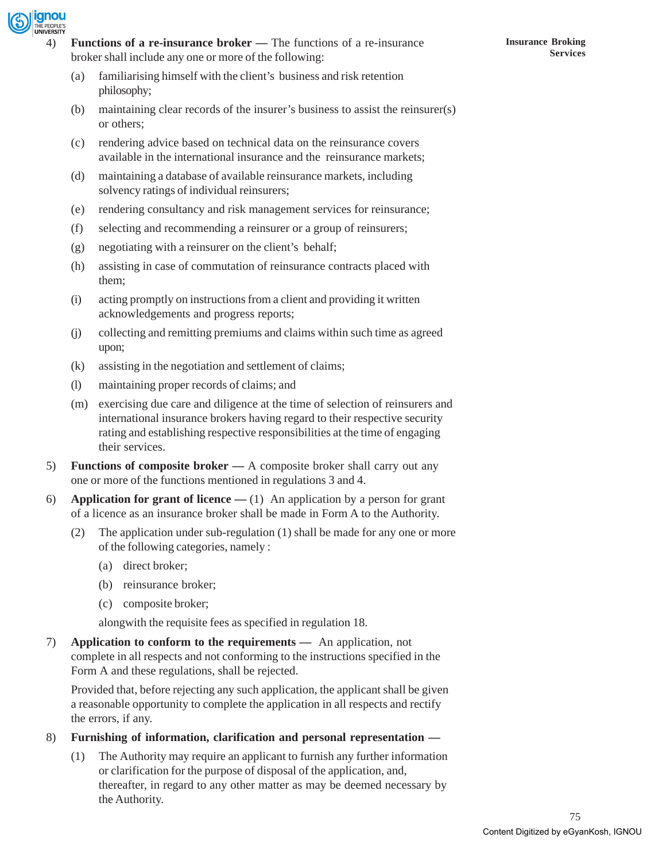

- (a) familiarising himself with the client's business and risk retention philosophy;
- (b) maintaining clear records of the insurer's business to assist the reinsurer(s) or others;
- (c) rendering advice based on technical data on the reinsurance covers available in the international insurance and the reinsurance markets;
- (d) maintaining a database of available reinsurance markets, including solvency ratings of individual reinsurers;
- (e) rendering consultancy and risk management services for reinsurance;
- (f) selecting and recommending a reinsurer or a group of reinsurers;
- (g) negotiating with a reinsurer on the client's behalf;
- (h) assisting in case of commutation of reinsurance contracts placed with them;
- (i) acting promptly on instructions from a client and providing it written acknowledgements and progress reports;
- (j) collecting and remitting premiums and claims within such time as agreed upon;
- (k) assisting in the negotiation and settlement of claims;
- (l) maintaining proper records of claims; and
- (m) exercising due care and diligence at the time of selection of reinsurers and international insurance brokers having regard to their respective security rating and establishing respective responsibilities at the time of engaging their services.
- 5) **Functions of composite broker** A composite broker shall carry out any one or more of the functions mentioned in regulations 3 and 4.
- 6) **Application for grant of licence** (1)An application by a person for grant of a licence as an insurance broker shall be made in Form A to the Authority.
	- (2) The application under sub-regulation (1) shall be made for any one or more of the following categories, namely :
		- (a) direct broker;
		- (b) reinsurance broker;
		- (c) composite broker;

alongwith the requisite fees as specified in regulation 18.

7) **Application to conform to the requirements —** An application, not complete in all respects and not conforming to the instructions specified in the Form A and these regulations, shall be rejected.

Provided that, before rejecting any such application, the applicant shall be given a reasonable opportunity to complete the application in all respects and rectify the errors, if any.

- 8) **Furnishing of information, clarification and personal representation —**
	- (1) The Authority may require an applicant to furnish any further information or clarification for the purpose of disposal of the application, and, thereafter, in regard to any other matter as may be deemed necessary by the Authority.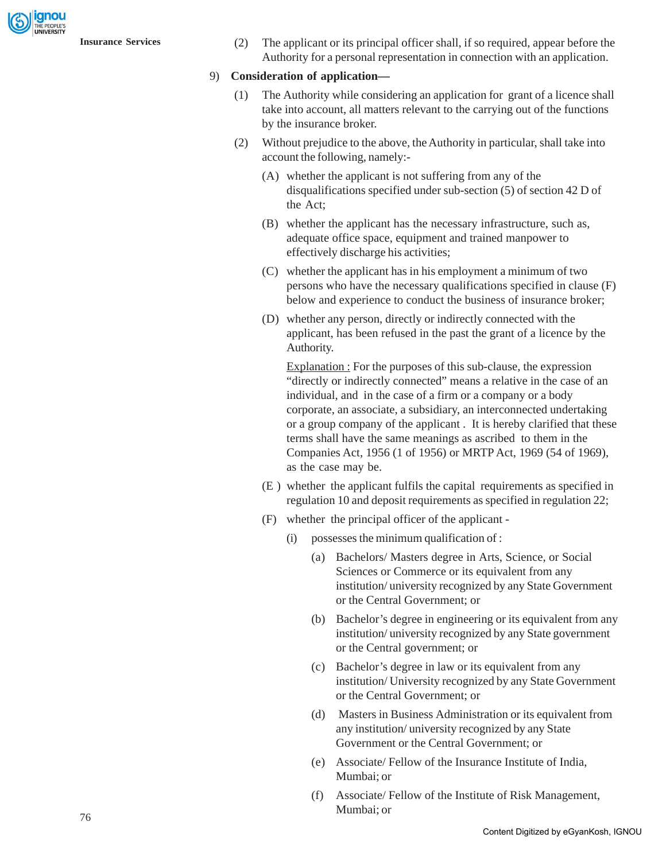gnou

**Insurance Services** (2) The applicant or its principal officer shall, if so required, appear before the Authority for a personal representation in connection with an application.

#### 9) **Consideration of application—**

- (1) The Authority while considering an application for grant of a licence shall take into account, all matters relevant to the carrying out of the functions by the insurance broker.
- (2) Without prejudice to the above, the Authority in particular, shall take into account the following, namely:-
	- (A) whether the applicant is not suffering from any of the disqualifications specified under sub-section (5) of section 42 D of the Act;
	- (B) whether the applicant has the necessary infrastructure, such as, adequate office space, equipment and trained manpower to effectively discharge his activities;
	- (C) whether the applicant has in his employment a minimum of two persons who have the necessary qualifications specified in clause (F) below and experience to conduct the business of insurance broker;
	- (D) whether any person, directly or indirectly connected with the applicant, has been refused in the past the grant of a licence by the Authority.

Explanation : For the purposes of this sub-clause, the expression "directly or indirectly connected" means a relative in the case of an individual, and in the case of a firm or a company or a body corporate, an associate, a subsidiary, an interconnected undertaking or a group company of the applicant . It is hereby clarified that these terms shall have the same meanings as ascribed to them in the Companies Act, 1956 (1 of 1956) or MRTP Act, 1969 (54 of 1969), as the case may be.

- (E ) whether the applicant fulfils the capital requirements as specified in regulation 10 and deposit requirements as specified in regulation 22;
- (F) whether the principal officer of the applicant
	- (i) possesses the minimum qualification of :
		- (a) Bachelors/ Masters degree in Arts, Science, or Social Sciences or Commerce or its equivalent from any institution/ university recognized by any State Government or the Central Government; or
		- (b) Bachelor's degree in engineering or its equivalent from any institution/ university recognized by any State government or the Central government; or
		- (c) Bachelor's degree in law or its equivalent from any institution/ University recognized by any State Government or the Central Government; or
		- (d) Masters in Business Administration or its equivalent from any institution/ university recognized by any State Government or the Central Government; or
		- (e) Associate/ Fellow of the Insurance Institute of India, Mumbai; or
		- (f) Associate/ Fellow of the Institute of Risk Management, Mumbai; or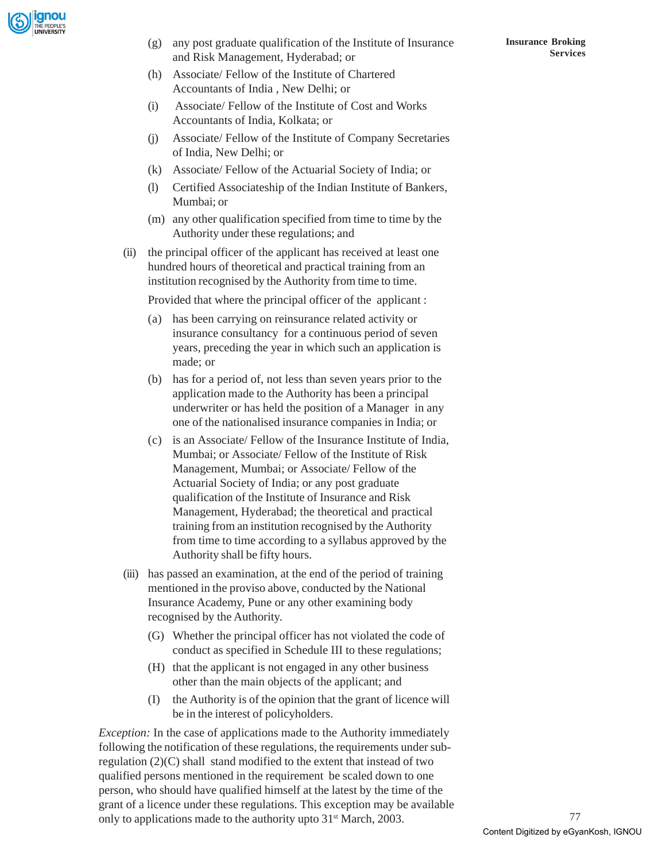

(g) any post graduate qualification of the Institute of Insurance and Risk Management, Hyderabad; or

- (h) Associate/ Fellow of the Institute of Chartered Accountants of India , New Delhi; or
- (i) Associate/ Fellow of the Institute of Cost and Works Accountants of India, Kolkata; or
- (j) Associate/ Fellow of the Institute of Company Secretaries of India, New Delhi; or
- (k) Associate/ Fellow of the Actuarial Society of India; or
- (l) Certified Associateship of the Indian Institute of Bankers, Mumbai; or
- (m) any other qualification specified from time to time by the Authority under these regulations; and
- (ii) the principal officer of the applicant has received at least one hundred hours of theoretical and practical training from an institution recognised by the Authority from time to time.

Provided that where the principal officer of the applicant :

- (a) has been carrying on reinsurance related activity or insurance consultancy for a continuous period of seven years, preceding the year in which such an application is made; or
- (b) has for a period of, not less than seven years prior to the application made to the Authority has been a principal underwriter or has held the position of a Manager in any one of the nationalised insurance companies in India; or
- (c) is an Associate/ Fellow of the Insurance Institute of India, Mumbai; or Associate/ Fellow of the Institute of Risk Management, Mumbai; or Associate/ Fellow of the Actuarial Society of India; or any post graduate qualification of the Institute of Insurance and Risk Management, Hyderabad; the theoretical and practical training from an institution recognised by the Authority from time to time according to a syllabus approved by the Authority shall be fifty hours.
- (iii) has passed an examination, at the end of the period of training mentioned in the proviso above, conducted by the National Insurance Academy, Pune or any other examining body recognised by the Authority.
	- (G) Whether the principal officer has not violated the code of conduct as specified in Schedule III to these regulations;
	- (H) that the applicant is not engaged in any other business other than the main objects of the applicant; and
	- (I) the Authority is of the opinion that the grant of licence will be in the interest of policyholders.

*Exception:* In the case of applications made to the Authority immediately following the notification of these regulations, the requirements under subregulation (2)(C) shall stand modified to the extent that instead of two qualified persons mentioned in the requirement be scaled down to one person, who should have qualified himself at the latest by the time of the grant of a licence under these regulations. This exception may be available only to applications made to the authority upto 31<sup>st</sup> March, 2003.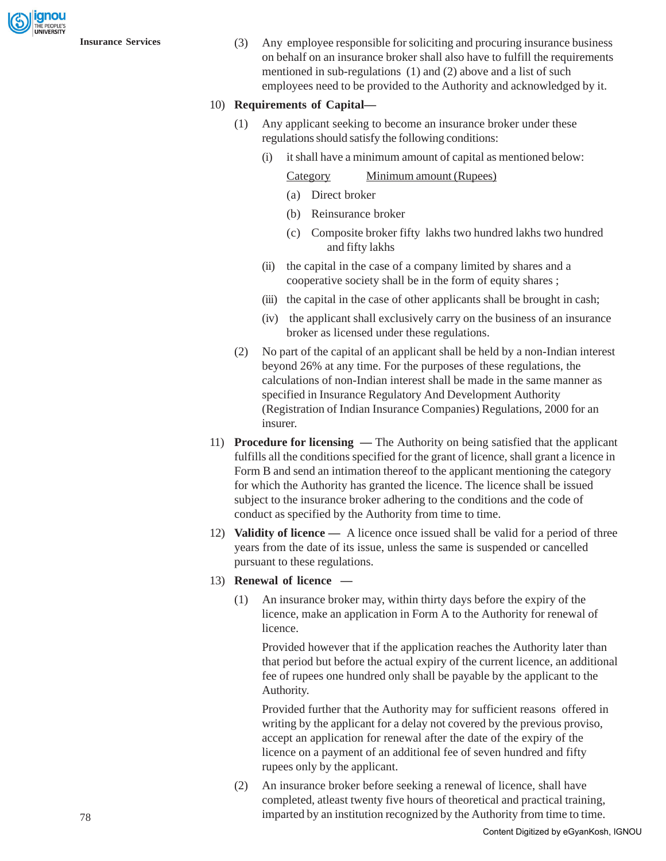gnou

**Insurance Services** (3) Any employee responsible for soliciting and procuring insurance business on behalf on an insurance broker shall also have to fulfill the requirements mentioned in sub-regulations (1) and (2) above and a list of such employees need to be provided to the Authority and acknowledged by it.

#### 10) **Requirements of Capital—**

- (1) Any applicant seeking to become an insurance broker under these regulations should satisfy the following conditions:
	- (i) it shall have a minimum amount of capital as mentioned below:

#### Category Minimum amount (Rupees)

- (a) Direct broker
- (b) Reinsurance broker
- (c) Composite broker fifty lakhs two hundred lakhs two hundred and fifty lakhs
- (ii) the capital in the case of a company limited by shares and a cooperative society shall be in the form of equity shares ;
- (iii) the capital in the case of other applicants shall be brought in cash;
- (iv) the applicant shall exclusively carry on the business of an insurance broker as licensed under these regulations.
- (2) No part of the capital of an applicant shall be held by a non-Indian interest beyond 26% at any time. For the purposes of these regulations, the calculations of non-Indian interest shall be made in the same manner as specified in Insurance Regulatory And Development Authority (Registration of Indian Insurance Companies) Regulations, 2000 for an insurer.
- 11) **Procedure for licensing** The Authority on being satisfied that the applicant fulfills all the conditions specified for the grant of licence, shall grant a licence in Form B and send an intimation thereof to the applicant mentioning the category for which the Authority has granted the licence. The licence shall be issued subject to the insurance broker adhering to the conditions and the code of conduct as specified by the Authority from time to time.
- 12) **Validity of licence** A licence once issued shall be valid for a period of three years from the date of its issue, unless the same is suspended or cancelled pursuant to these regulations.

### 13) **Renewal of licence —**

(1) An insurance broker may, within thirty days before the expiry of the licence, make an application in Form A to the Authority for renewal of licence.

Provided however that if the application reaches the Authority later than that period but before the actual expiry of the current licence, an additional fee of rupees one hundred only shall be payable by the applicant to the Authority.

Provided further that the Authority may for sufficient reasons offered in writing by the applicant for a delay not covered by the previous proviso, accept an application for renewal after the date of the expiry of the licence on a payment of an additional fee of seven hundred and fifty rupees only by the applicant.

(2) An insurance broker before seeking a renewal of licence, shall have completed, atleast twenty five hours of theoretical and practical training, imparted by an institution recognized by the Authority from time to time.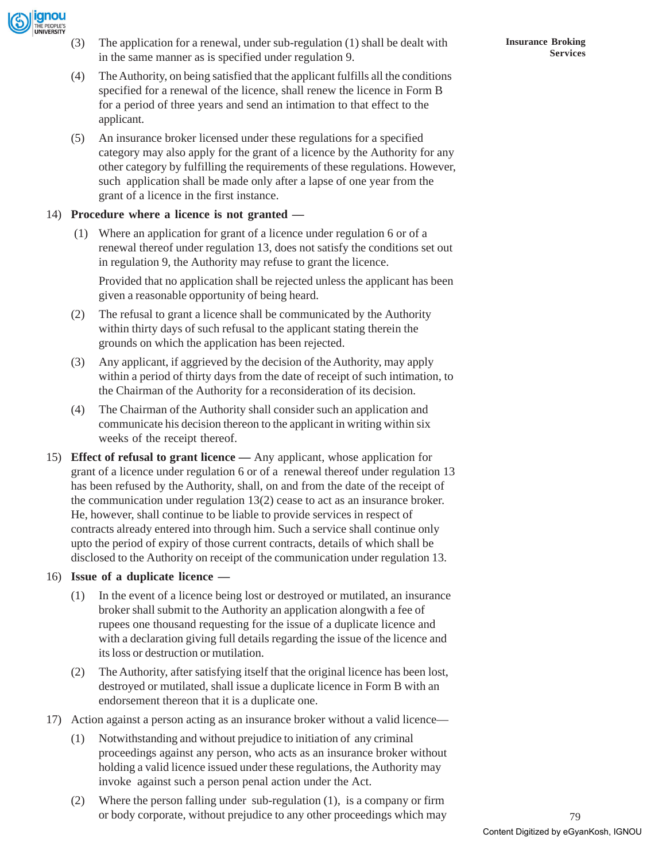

- (3) The application for a renewal, under sub-regulation (1) shall be dealt with in the same manner as is specified under regulation 9.
- (4) The Authority, on being satisfied that the applicant fulfills all the conditions specified for a renewal of the licence, shall renew the licence in Form B for a period of three years and send an intimation to that effect to the applicant.
- (5) An insurance broker licensed under these regulations for a specified category may also apply for the grant of a licence by the Authority for any other category by fulfilling the requirements of these regulations. However, such application shall be made only after a lapse of one year from the grant of a licence in the first instance.

### 14) **Procedure where a licence is not granted —**

(1) Where an application for grant of a licence under regulation 6 or of a renewal thereof under regulation 13, does not satisfy the conditions set out in regulation 9, the Authority may refuse to grant the licence.

Provided that no application shall be rejected unless the applicant has been given a reasonable opportunity of being heard.

- (2) The refusal to grant a licence shall be communicated by the Authority within thirty days of such refusal to the applicant stating therein the grounds on which the application has been rejected.
- (3) Any applicant, if aggrieved by the decision of the Authority, may apply within a period of thirty days from the date of receipt of such intimation, to the Chairman of the Authority for a reconsideration of its decision.
- (4) The Chairman of the Authority shall consider such an application and communicate his decision thereon to the applicant in writing within six weeks of the receipt thereof.
- 15) **Effect of refusal to grant licence** Any applicant, whose application for grant of a licence under regulation 6 or of a renewal thereof under regulation 13 has been refused by the Authority, shall, on and from the date of the receipt of the communication under regulation 13(2) cease to act as an insurance broker. He, however, shall continue to be liable to provide services in respect of contracts already entered into through him. Such a service shall continue only upto the period of expiry of those current contracts, details of which shall be disclosed to the Authority on receipt of the communication under regulation 13.

#### 16) **Issue of a duplicate licence —**

- (1) In the event of a licence being lost or destroyed or mutilated, an insurance broker shall submit to the Authority an application alongwith a fee of rupees one thousand requesting for the issue of a duplicate licence and with a declaration giving full details regarding the issue of the licence and its loss or destruction or mutilation.
- (2) The Authority, after satisfying itself that the original licence has been lost, destroyed or mutilated, shall issue a duplicate licence in Form B with an endorsement thereon that it is a duplicate one.
- 17) Action against a person acting as an insurance broker without a valid licence—
	- (1) Notwithstanding and without prejudice to initiation of any criminal proceedings against any person, who acts as an insurance broker without holding a valid licence issued under these regulations, the Authority may invoke against such a person penal action under the Act.
	- (2) Where the person falling under sub-regulation (1), is a company or firm or body corporate, without prejudice to any other proceedings which may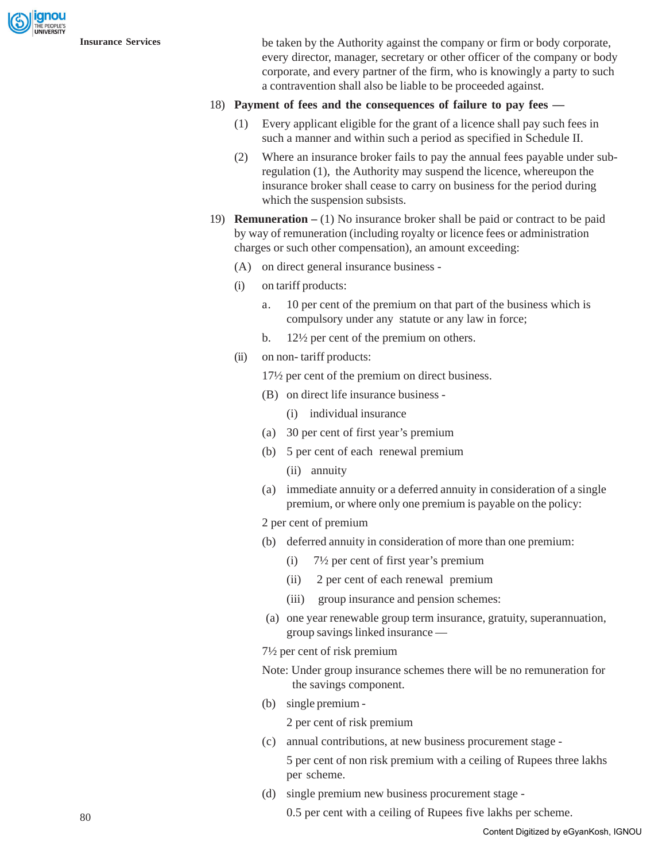

**Insurance Services** be taken by the Authority against the company or firm or body corporate, every director, manager, secretary or other officer of the company or body corporate, and every partner of the firm, who is knowingly a party to such a contravention shall also be liable to be proceeded against.

### 18) **Payment of fees and the consequences of failure to pay fees —**

- (1) Every applicant eligible for the grant of a licence shall pay such fees in such a manner and within such a period as specified in Schedule II.
- (2) Where an insurance broker fails to pay the annual fees payable under subregulation (1), the Authority may suspend the licence, whereupon the insurance broker shall cease to carry on business for the period during which the suspension subsists.
- 19) **Remuneration** (1) No insurance broker shall be paid or contract to be paid by way of remuneration (including royalty or licence fees or administration charges or such other compensation), an amount exceeding:
	- (A) on direct general insurance business -
	- (i) on tariff products:
		- a. 10 per cent of the premium on that part of the business which is compulsory under any statute or any law in force;
		- b. 12½ per cent of the premium on others.
	- (ii) on non- tariff products:

17½ per cent of the premium on direct business.

- (B) on direct life insurance business
	- (i) individual insurance
- (a) 30 per cent of first year's premium
- (b) 5 per cent of each renewal premium
	- (ii) annuity
- (a) immediate annuity or a deferred annuity in consideration of a single premium, or where only one premium is payable on the policy:
- 2 per cent of premium
- (b) deferred annuity in consideration of more than one premium:
	- (i) 7½ per cent of first year's premium
	- (ii) 2 per cent of each renewal premium
	- (iii) group insurance and pension schemes:
- (a) one year renewable group term insurance, gratuity, superannuation, group savings linked insurance —
- 7½ per cent of risk premium
- Note: Under group insurance schemes there will be no remuneration for the savings component.
- (b) single premium -

2 per cent of risk premium

(c) annual contributions, at new business procurement stage -

5 per cent of non risk premium with a ceiling of Rupees three lakhs per scheme.

(d) single premium new business procurement stage -

0.5 per cent with a ceiling of Rupees five lakhs per scheme.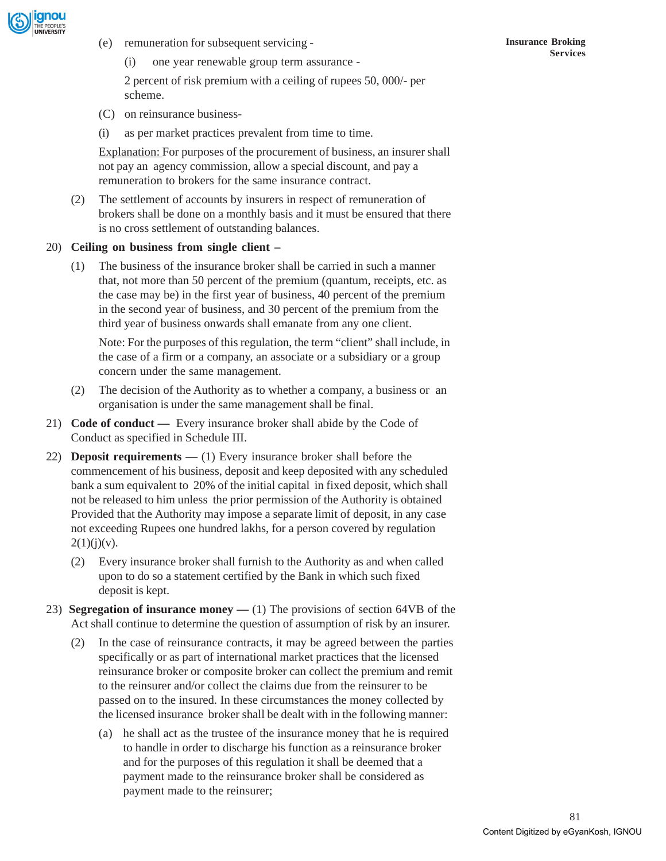

- (e) remuneration for subsequent servicing
	- (i) one year renewable group term assurance -

2 percent of risk premium with a ceiling of rupees 50, 000/- per scheme.

- (C) on reinsurance business-
- (i) as per market practices prevalent from time to time.

Explanation: For purposes of the procurement of business, an insurer shall not pay an agency commission, allow a special discount, and pay a remuneration to brokers for the same insurance contract.

(2) The settlement of accounts by insurers in respect of remuneration of brokers shall be done on a monthly basis and it must be ensured that there is no cross settlement of outstanding balances.

#### 20) **Ceiling on business from single client –**

(1) The business of the insurance broker shall be carried in such a manner that, not more than 50 percent of the premium (quantum, receipts, etc. as the case may be) in the first year of business, 40 percent of the premium in the second year of business, and 30 percent of the premium from the third year of business onwards shall emanate from any one client.

Note: For the purposes of this regulation, the term "client" shall include, in the case of a firm or a company, an associate or a subsidiary or a group concern under the same management.

- (2) The decision of the Authority as to whether a company, a business or an organisation is under the same management shall be final.
- 21) **Code of conduct** Every insurance broker shall abide by the Code of Conduct as specified in Schedule III.
- 22) **Deposit requirements** (1) Every insurance broker shall before the commencement of his business, deposit and keep deposited with any scheduled bank a sum equivalent to 20% of the initial capital in fixed deposit, which shall not be released to him unless the prior permission of the Authority is obtained Provided that the Authority may impose a separate limit of deposit, in any case not exceeding Rupees one hundred lakhs, for a person covered by regulation  $2(1)(j)(v)$ .
	- (2) Every insurance broker shall furnish to the Authority as and when called upon to do so a statement certified by the Bank in which such fixed deposit is kept.
- 23) **Segregation of insurance money** (1) The provisions of section 64VB of the Act shall continue to determine the question of assumption of risk by an insurer.
	- (2) In the case of reinsurance contracts, it may be agreed between the parties specifically or as part of international market practices that the licensed reinsurance broker or composite broker can collect the premium and remit to the reinsurer and/or collect the claims due from the reinsurer to be passed on to the insured. In these circumstances the money collected by the licensed insurance broker shall be dealt with in the following manner:
		- (a) he shall act as the trustee of the insurance money that he is required to handle in order to discharge his function as a reinsurance broker and for the purposes of this regulation it shall be deemed that a payment made to the reinsurance broker shall be considered as payment made to the reinsurer;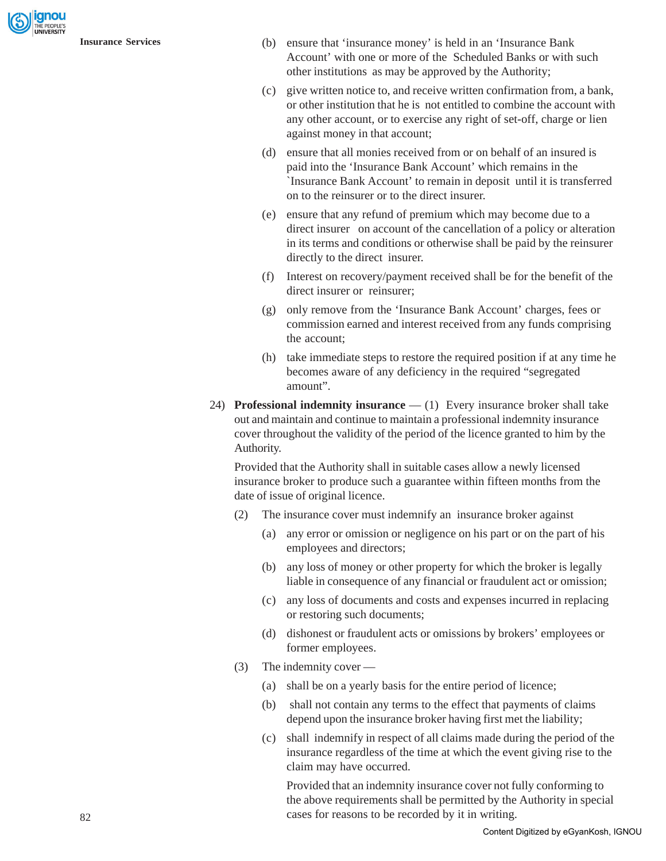- **Insurance Services** (b) ensure that 'insurance money' is held in an 'Insurance Bank Account' with one or more of the Scheduled Banks or with such other institutions as may be approved by the Authority;
	- (c) give written notice to, and receive written confirmation from, a bank, or other institution that he is not entitled to combine the account with any other account, or to exercise any right of set-off, charge or lien against money in that account;
	- (d) ensure that all monies received from or on behalf of an insured is paid into the 'Insurance Bank Account' which remains in the `Insurance Bank Account' to remain in deposit until it is transferred on to the reinsurer or to the direct insurer.
	- (e) ensure that any refund of premium which may become due to a direct insurer on account of the cancellation of a policy or alteration in its terms and conditions or otherwise shall be paid by the reinsurer directly to the direct insurer.
	- (f) Interest on recovery/payment received shall be for the benefit of the direct insurer or reinsurer;
	- (g) only remove from the 'Insurance Bank Account' charges, fees or commission earned and interest received from any funds comprising the account;
	- (h) take immediate steps to restore the required position if at any time he becomes aware of any deficiency in the required "segregated amount".
	- 24) **Professional indemnity insurance**  (1) Every insurance broker shall take out and maintain and continue to maintain a professional indemnity insurance cover throughout the validity of the period of the licence granted to him by the Authority.

Provided that the Authority shall in suitable cases allow a newly licensed insurance broker to produce such a guarantee within fifteen months from the date of issue of original licence.

- (2) The insurance cover must indemnify an insurance broker against
	- (a) any error or omission or negligence on his part or on the part of his employees and directors;
	- (b) any loss of money or other property for which the broker is legally liable in consequence of any financial or fraudulent act or omission;
	- (c) any loss of documents and costs and expenses incurred in replacing or restoring such documents;
	- (d) dishonest or fraudulent acts or omissions by brokers' employees or former employees.
- (3) The indemnity cover
	- (a) shall be on a yearly basis for the entire period of licence;
	- (b) shall not contain any terms to the effect that payments of claims depend upon the insurance broker having first met the liability;
	- (c) shall indemnify in respect of all claims made during the period of the insurance regardless of the time at which the event giving rise to the claim may have occurred.

Provided that an indemnity insurance cover not fully conforming to the above requirements shall be permitted by the Authority in special cases for reasons to be recorded by it in writing.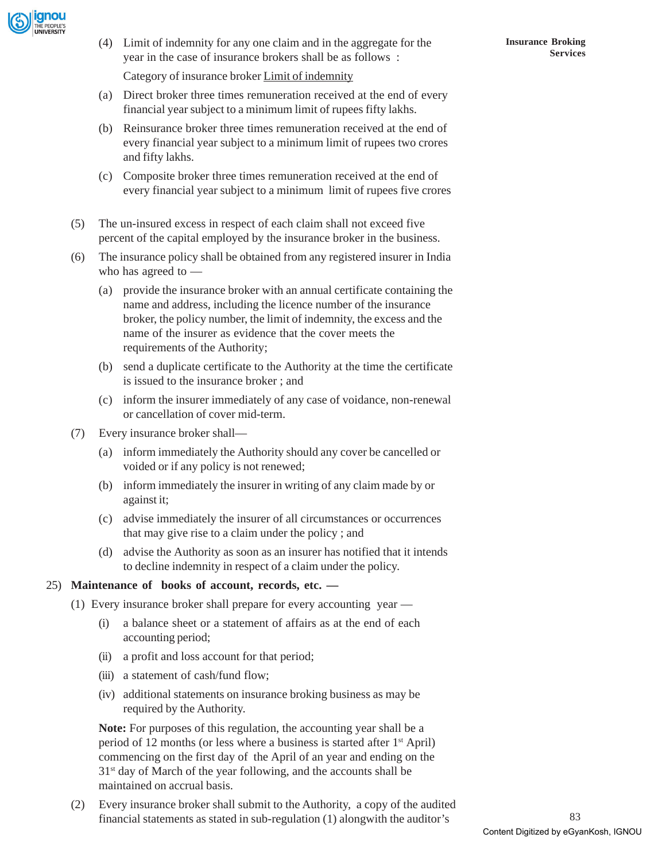

(4) Limit of indemnity for any one claim and in the aggregate for the year in the case of insurance brokers shall be as follows :

Category of insurance broker Limit of indemnity

- (a) Direct broker three times remuneration received at the end of every financial year subject to a minimum limit of rupees fifty lakhs.
- (b) Reinsurance broker three times remuneration received at the end of every financial year subject to a minimum limit of rupees two crores and fifty lakhs.
- (c) Composite broker three times remuneration received at the end of every financial year subject to a minimum limit of rupees five crores
- (5) The un-insured excess in respect of each claim shall not exceed five percent of the capital employed by the insurance broker in the business.
- (6) The insurance policy shall be obtained from any registered insurer in India who has agreed to —
	- (a) provide the insurance broker with an annual certificate containing the name and address, including the licence number of the insurance broker, the policy number, the limit of indemnity, the excess and the name of the insurer as evidence that the cover meets the requirements of the Authority;
	- (b) send a duplicate certificate to the Authority at the time the certificate is issued to the insurance broker ; and
	- (c) inform the insurer immediately of any case of voidance, non-renewal or cancellation of cover mid-term.
- (7) Every insurance broker shall—
	- (a) inform immediately the Authority should any cover be cancelled or voided or if any policy is not renewed;
	- (b) inform immediately the insurer in writing of any claim made by or against it;
	- (c) advise immediately the insurer of all circumstances or occurrences that may give rise to a claim under the policy ; and
	- (d) advise the Authority as soon as an insurer has notified that it intends to decline indemnity in respect of a claim under the policy.

### 25) **Maintenance of books of account, records, etc. —**

- (1) Every insurance broker shall prepare for every accounting year
	- (i) a balance sheet or a statement of affairs as at the end of each accounting period;
	- (ii) a profit and loss account for that period;
	- (iii) a statement of cash/fund flow;
	- (iv) additional statements on insurance broking business as may be required by the Authority.

**Note:** For purposes of this regulation, the accounting year shall be a period of 12 months (or less where a business is started after  $1<sup>st</sup>$  April) commencing on the first day of the April of an year and ending on the  $31<sup>st</sup>$  day of March of the year following, and the accounts shall be maintained on accrual basis.

(2) Every insurance broker shall submit to the Authority, a copy of the audited financial statements as stated in sub-regulation (1) alongwith the auditor's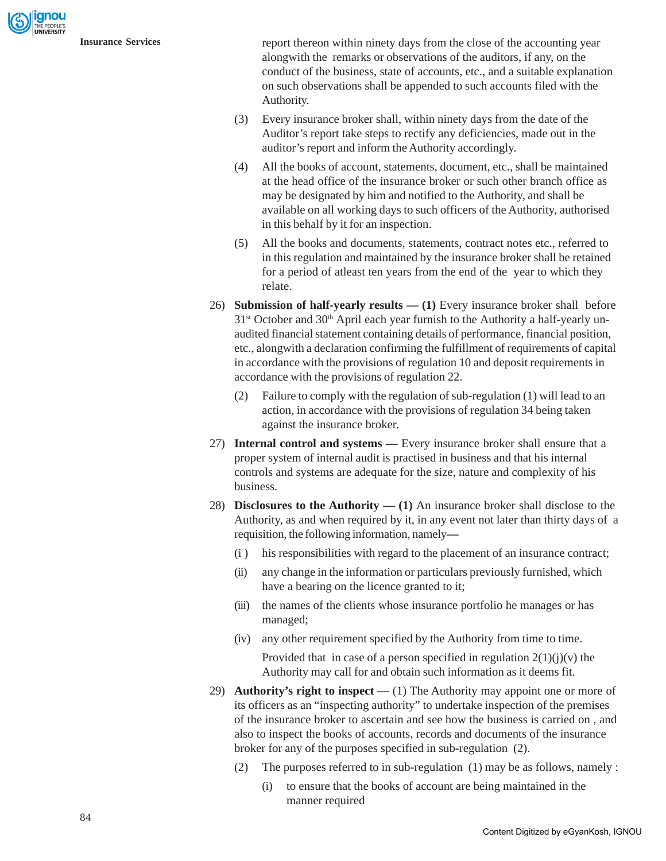

**Insurance Services** report thereon within ninety days from the close of the accounting year alongwith the remarks or observations of the auditors, if any, on the conduct of the business, state of accounts, etc., and a suitable explanation on such observations shall be appended to such accounts filed with the Authority.

- (3) Every insurance broker shall, within ninety days from the date of the Auditor's report take steps to rectify any deficiencies, made out in the auditor's report and inform the Authority accordingly.
- (4) All the books of account, statements, document, etc., shall be maintained at the head office of the insurance broker or such other branch office as may be designated by him and notified to the Authority, and shall be available on all working days to such officers of the Authority, authorised in this behalf by it for an inspection.
- (5) All the books and documents, statements, contract notes etc., referred to in this regulation and maintained by the insurance broker shall be retained for a period of atleast ten years from the end of the year to which they relate.
- 26) **Submission of half-yearly results (1)** Every insurance broker shall before  $31<sup>st</sup>$  October and  $30<sup>th</sup>$  April each year furnish to the Authority a half-yearly unaudited financial statement containing details of performance, financial position, etc., alongwith a declaration confirming the fulfillment of requirements of capital in accordance with the provisions of regulation 10 and deposit requirements in accordance with the provisions of regulation 22.
	- (2) Failure to comply with the regulation of sub-regulation (1) will lead to an action, in accordance with the provisions of regulation 34 being taken against the insurance broker.
- 27) **Internal control and systems** Every insurance broker shall ensure that a proper system of internal audit is practised in business and that his internal controls and systems are adequate for the size, nature and complexity of his business.
- 28) **Disclosures to the Authority (1)** An insurance broker shall disclose to the Authority, as and when required by it, in any event not later than thirty days of a requisition, the following information, namely**—**
	- (i ) his responsibilities with regard to the placement of an insurance contract;
	- (ii) any change in the information or particulars previously furnished, which have a bearing on the licence granted to it;
	- (iii) the names of the clients whose insurance portfolio he manages or has managed;
	- (iv) any other requirement specified by the Authority from time to time. Provided that in case of a person specified in regulation  $2(1)(i)(v)$  the Authority may call for and obtain such information as it deems fit.
- 29) **Authority's right to inspect** (1) The Authority may appoint one or more of its officers as an "inspecting authority" to undertake inspection of the premises of the insurance broker to ascertain and see how the business is carried on , and also to inspect the books of accounts, records and documents of the insurance broker for any of the purposes specified in sub-regulation (2).
	- (2) The purposes referred to in sub-regulation (1) may be as follows, namely :
		- (i) to ensure that the books of account are being maintained in the manner required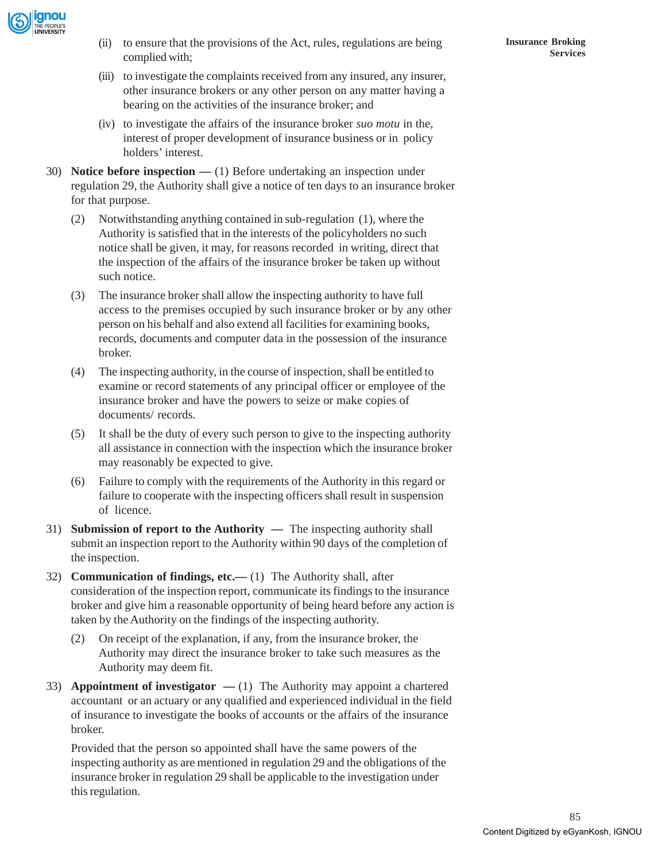

- (ii) to ensure that the provisions of the Act, rules, regulations are being complied with;
- (iii) to investigate the complaints received from any insured, any insurer, other insurance brokers or any other person on any matter having a bearing on the activities of the insurance broker; and
- (iv) to investigate the affairs of the insurance broker *suo motu* in the, interest of proper development of insurance business or in policy holders' interest.
- 30) **Notice before inspection** (1) Before undertaking an inspection under regulation 29, the Authority shall give a notice of ten days to an insurance broker for that purpose.
	- (2) Notwithstanding anything contained in sub-regulation (1), where the Authority is satisfied that in the interests of the policyholders no such notice shall be given, it may, for reasons recorded in writing, direct that the inspection of the affairs of the insurance broker be taken up without such notice.
	- (3) The insurance broker shall allow the inspecting authority to have full access to the premises occupied by such insurance broker or by any other person on his behalf and also extend all facilities for examining books, records, documents and computer data in the possession of the insurance broker.
	- (4) The inspecting authority, in the course of inspection, shall be entitled to examine or record statements of any principal officer or employee of the insurance broker and have the powers to seize or make copies of documents/ records.
	- (5) It shall be the duty of every such person to give to the inspecting authority all assistance in connection with the inspection which the insurance broker may reasonably be expected to give.
	- (6) Failure to comply with the requirements of the Authority in this regard or failure to cooperate with the inspecting officers shall result in suspension of licence.
- 31) **Submission of report to the Authority** The inspecting authority shall submit an inspection report to the Authority within 90 days of the completion of the inspection.
- 32) **Communication of findings, etc.—** (1) The Authority shall, after consideration of the inspection report, communicate its findings to the insurance broker and give him a reasonable opportunity of being heard before any action is taken by the Authority on the findings of the inspecting authority.
	- (2) On receipt of the explanation, if any, from the insurance broker, the Authority may direct the insurance broker to take such measures as the Authority may deem fit.
- 33) **Appointment of investigator**  $(1)$  The Authority may appoint a chartered accountant or an actuary or any qualified and experienced individual in the field of insurance to investigate the books of accounts or the affairs of the insurance broker.

Provided that the person so appointed shall have the same powers of the inspecting authority as are mentioned in regulation 29 and the obligations of the insurance broker in regulation 29 shall be applicable to the investigation under this regulation.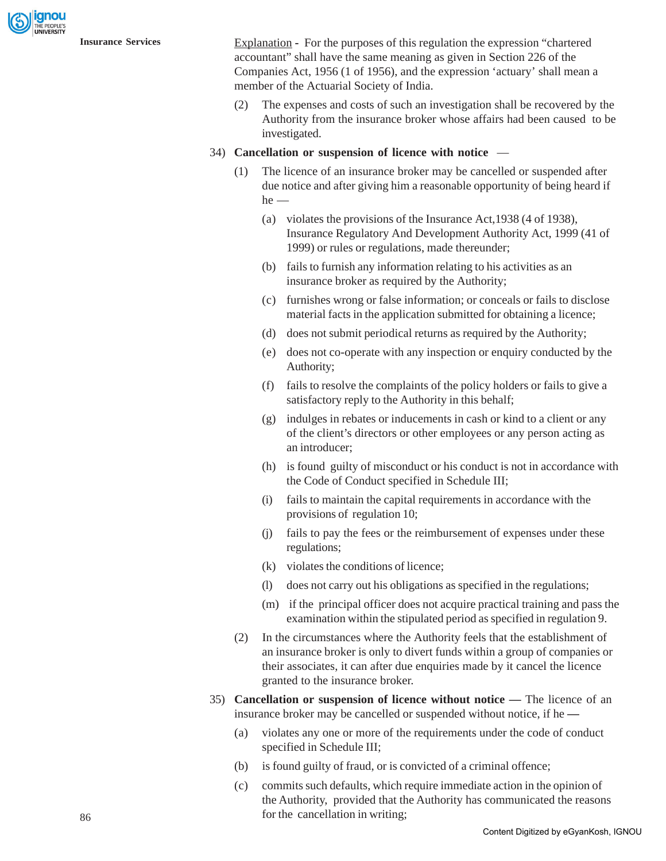**Insurance Services** Explanation **-** For the purposes of this regulation the expression "chartered accountant" shall have the same meaning as given in Section 226 of the Companies Act, 1956 (1 of 1956), and the expression 'actuary' shall mean a member of the Actuarial Society of India.

> (2) The expenses and costs of such an investigation shall be recovered by the Authority from the insurance broker whose affairs had been caused to be investigated.

#### 34) **Cancellation or suspension of licence with notice** —

- The licence of an insurance broker may be cancelled or suspended after due notice and after giving him a reasonable opportunity of being heard if he —
	- (a) violates the provisions of the Insurance Act,1938 (4 of 1938), Insurance Regulatory And Development Authority Act, 1999 (41 of 1999) or rules or regulations, made thereunder;
	- (b) fails to furnish any information relating to his activities as an insurance broker as required by the Authority;
	- (c) furnishes wrong or false information; or conceals or fails to disclose material facts in the application submitted for obtaining a licence;
	- (d) does not submit periodical returns as required by the Authority;
	- (e) does not co-operate with any inspection or enquiry conducted by the Authority;
	- (f) fails to resolve the complaints of the policy holders or fails to give a satisfactory reply to the Authority in this behalf;
	- (g) indulges in rebates or inducements in cash or kind to a client or any of the client's directors or other employees or any person acting as an introducer;
	- (h) is found guilty of misconduct or his conduct is not in accordance with the Code of Conduct specified in Schedule III;
	- (i) fails to maintain the capital requirements in accordance with the provisions of regulation 10;
	- (j) fails to pay the fees or the reimbursement of expenses under these regulations;
	- (k) violates the conditions of licence;
	- (l) does not carry out his obligations as specified in the regulations;
	- (m) if the principal officer does not acquire practical training and pass the examination within the stipulated period as specified in regulation 9.
- (2) In the circumstances where the Authority feels that the establishment of an insurance broker is only to divert funds within a group of companies or their associates, it can after due enquiries made by it cancel the licence granted to the insurance broker.
- 35) **Cancellation or suspension of licence without notice** The licence of an insurance broker may be cancelled or suspended without notice, if he **—**
	- (a) violates any one or more of the requirements under the code of conduct specified in Schedule III;
	- (b) is found guilty of fraud, or is convicted of a criminal offence;
	- (c) commits such defaults, which require immediate action in the opinion of the Authority, provided that the Authority has communicated the reasons for the cancellation in writing;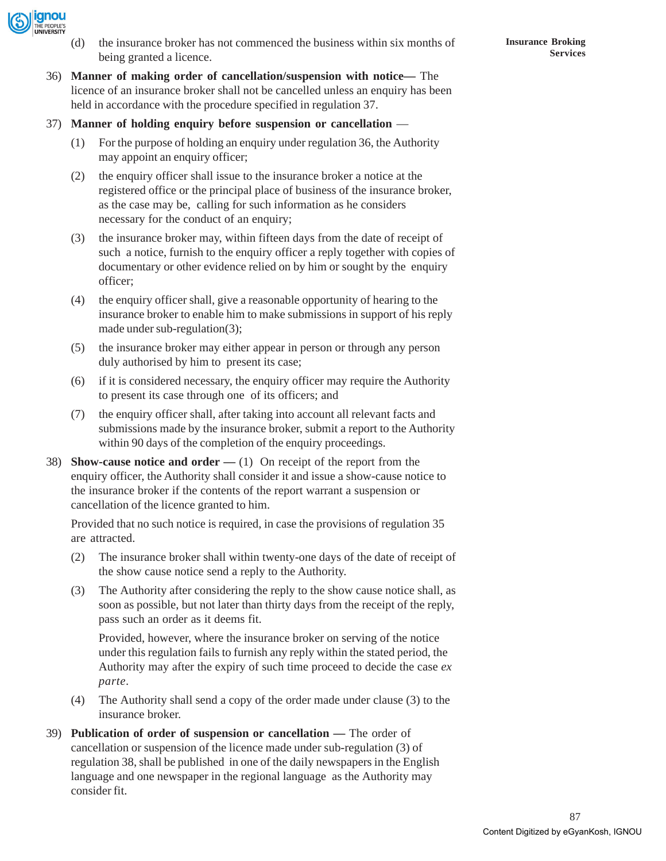

- (d) the insurance broker has not commenced the business within six months of being granted a licence.
- 36) **Manner of making order of cancellation/suspension with notice—** The licence of an insurance broker shall not be cancelled unless an enquiry has been held in accordance with the procedure specified in regulation 37.
- 37) **Manner of holding enquiry before suspension or cancellation** 
	- (1) For the purpose of holding an enquiry under regulation 36, the Authority may appoint an enquiry officer;
	- (2) the enquiry officer shall issue to the insurance broker a notice at the registered office or the principal place of business of the insurance broker, as the case may be, calling for such information as he considers necessary for the conduct of an enquiry;
	- (3) the insurance broker may, within fifteen days from the date of receipt of such a notice, furnish to the enquiry officer a reply together with copies of documentary or other evidence relied on by him or sought by the enquiry officer;
	- (4) the enquiry officer shall, give a reasonable opportunity of hearing to the insurance broker to enable him to make submissions in support of his reply made under sub-regulation(3);
	- (5) the insurance broker may either appear in person or through any person duly authorised by him to present its case;
	- (6) if it is considered necessary, the enquiry officer may require the Authority to present its case through one of its officers; and
	- (7) the enquiry officer shall, after taking into account all relevant facts and submissions made by the insurance broker, submit a report to the Authority within 90 days of the completion of the enquiry proceedings.
- 38) **Show-cause notice and order** (1) On receipt of the report from the enquiry officer, the Authority shall consider it and issue a show-cause notice to the insurance broker if the contents of the report warrant a suspension or cancellation of the licence granted to him.

Provided that no such notice is required, in case the provisions of regulation 35 are attracted.

- (2) The insurance broker shall within twenty-one days of the date of receipt of the show cause notice send a reply to the Authority.
- (3) The Authority after considering the reply to the show cause notice shall, as soon as possible, but not later than thirty days from the receipt of the reply, pass such an order as it deems fit.

Provided, however, where the insurance broker on serving of the notice under this regulation fails to furnish any reply within the stated period, the Authority may after the expiry of such time proceed to decide the case *ex parte*.

- (4) The Authority shall send a copy of the order made under clause (3) to the insurance broker.
- 39) **Publication of order of suspension or cancellation** The order of cancellation or suspension of the licence made under sub-regulation (3) of regulation 38, shall be published in one of the daily newspapers in the English language and one newspaper in the regional language as the Authority may consider fit.